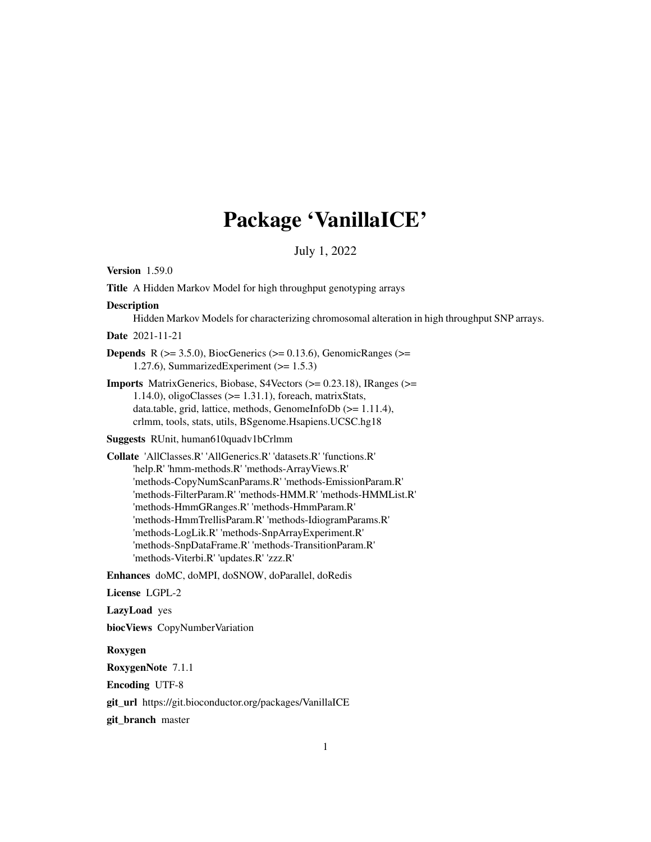# Package 'VanillaICE'

July 1, 2022

<span id="page-0-0"></span>Version 1.59.0

Title A Hidden Markov Model for high throughput genotyping arrays

#### **Description**

Hidden Markov Models for characterizing chromosomal alteration in high throughput SNP arrays.

Date 2021-11-21

**Depends** R  $(>= 3.5.0)$ , BiocGenerics  $(>= 0.13.6)$ , GenomicRanges  $(>= 1.5.0)$ 1.27.6), SummarizedExperiment  $(>= 1.5.3)$ 

Imports MatrixGenerics, Biobase, S4Vectors (>= 0.23.18), IRanges (>= 1.14.0), oligoClasses  $(>= 1.31.1)$ , foreach, matrixStats, data.table, grid, lattice, methods, GenomeInfoDb (>= 1.11.4), crlmm, tools, stats, utils, BSgenome.Hsapiens.UCSC.hg18

Suggests RUnit, human610quadv1bCrlmm

Collate 'AllClasses.R' 'AllGenerics.R' 'datasets.R' 'functions.R' 'help.R' 'hmm-methods.R' 'methods-ArrayViews.R' 'methods-CopyNumScanParams.R' 'methods-EmissionParam.R' 'methods-FilterParam.R' 'methods-HMM.R' 'methods-HMMList.R' 'methods-HmmGRanges.R' 'methods-HmmParam.R' 'methods-HmmTrellisParam.R' 'methods-IdiogramParams.R' 'methods-LogLik.R' 'methods-SnpArrayExperiment.R' 'methods-SnpDataFrame.R' 'methods-TransitionParam.R' 'methods-Viterbi.R' 'updates.R' 'zzz.R'

Enhances doMC, doMPI, doSNOW, doParallel, doRedis

License LGPL-2

LazyLoad yes

biocViews CopyNumberVariation

#### Roxygen

RoxygenNote 7.1.1

Encoding UTF-8

git\_url https://git.bioconductor.org/packages/VanillaICE

git\_branch master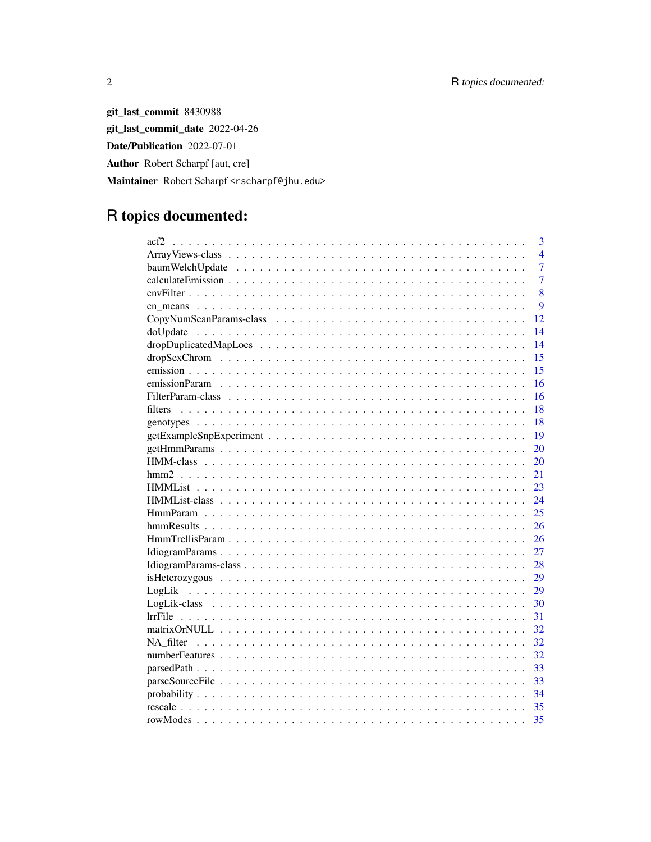git\_last\_commit 8430988 git\_last\_commit\_date 2022-04-26 Date/Publication 2022-07-01 Author Robert Scharpf [aut, cre] Maintainer Robert Scharpf <rscharpf@jhu.edu>

# R topics documented:

| 3<br>acf2      |
|----------------|
| $\overline{4}$ |
| 7              |
| $\overline{7}$ |
| 8              |
| 9              |
| 12             |
| 14             |
| 14             |
| 15             |
| 15             |
| 16             |
| 16             |
| 18<br>filters  |
| 18             |
| 19             |
| 20             |
| 20             |
| 21             |
| 23             |
| 24             |
| 25             |
| 26             |
| 26             |
| 27             |
| 28             |
| 29             |
| 29             |
| 30             |
| 31             |
| 32             |
| 32             |
| 32             |
| 33             |
| 33             |
| 34             |
| 35             |
| 35             |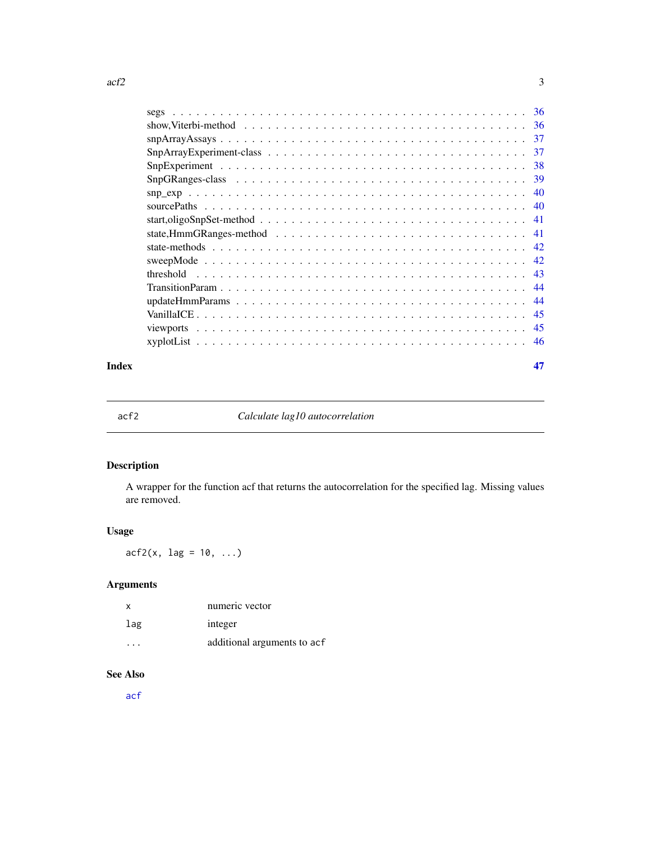<span id="page-2-0"></span>

|                                                                                                                                                                                                                                                                                                                                                                                         | 36  |
|-----------------------------------------------------------------------------------------------------------------------------------------------------------------------------------------------------------------------------------------------------------------------------------------------------------------------------------------------------------------------------------------|-----|
|                                                                                                                                                                                                                                                                                                                                                                                         | 36  |
|                                                                                                                                                                                                                                                                                                                                                                                         | 37  |
|                                                                                                                                                                                                                                                                                                                                                                                         | 37  |
|                                                                                                                                                                                                                                                                                                                                                                                         | 38  |
|                                                                                                                                                                                                                                                                                                                                                                                         | 39  |
| $\sup_{x \in \mathcal{X}} \exp \left( \frac{1}{2} \sum_{i=1}^{n} x_i + \frac{1}{2} \sum_{i=1}^{n} x_i + \frac{1}{2} \sum_{i=1}^{n} x_i + \frac{1}{2} \sum_{i=1}^{n} x_i + \frac{1}{2} \sum_{i=1}^{n} x_i + \frac{1}{2} \sum_{i=1}^{n} x_i + \frac{1}{2} \sum_{i=1}^{n} x_i + \frac{1}{2} \sum_{i=1}^{n} x_i + \frac{1}{2} \sum_{i=1}^{n} x_i + \frac{1}{2} \sum_{i=1}^{n} x_i + \frac{$ | 40  |
|                                                                                                                                                                                                                                                                                                                                                                                         | 40  |
|                                                                                                                                                                                                                                                                                                                                                                                         | 41  |
|                                                                                                                                                                                                                                                                                                                                                                                         | 41  |
|                                                                                                                                                                                                                                                                                                                                                                                         | -42 |
|                                                                                                                                                                                                                                                                                                                                                                                         | -42 |
| threshold<br>and the contract of the contract of the contract of the contract of the contract of the contract of the contract of the contract of the contract of the contract of the contract of the contract of the contract of the contra                                                                                                                                             | -43 |
|                                                                                                                                                                                                                                                                                                                                                                                         | 44  |
|                                                                                                                                                                                                                                                                                                                                                                                         | 44  |
|                                                                                                                                                                                                                                                                                                                                                                                         | 45  |
|                                                                                                                                                                                                                                                                                                                                                                                         | -45 |
|                                                                                                                                                                                                                                                                                                                                                                                         | -46 |
|                                                                                                                                                                                                                                                                                                                                                                                         |     |

#### **Index** [47](#page-46-0)

acf2 *Calculate lag10 autocorrelation*

# Description

A wrapper for the function acf that returns the autocorrelation for the specified lag. Missing values are removed.

# Usage

 $\arctan 2(x, \text{ lag} = 10, \ldots)$ 

# Arguments

| X   | numeric vector              |
|-----|-----------------------------|
| lag | integer                     |
|     | additional arguments to acf |

# See Also

[acf](#page-0-0)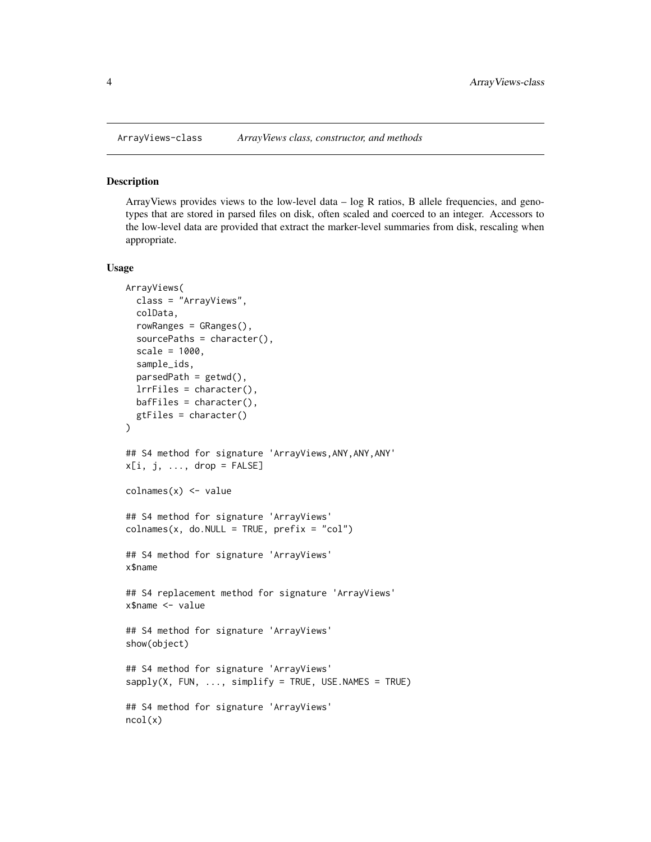<span id="page-3-2"></span><span id="page-3-1"></span><span id="page-3-0"></span>

ArrayViews provides views to the low-level data  $-$  log R ratios, B allele frequencies, and genotypes that are stored in parsed files on disk, often scaled and coerced to an integer. Accessors to the low-level data are provided that extract the marker-level summaries from disk, rescaling when appropriate.

#### Usage

```
ArrayViews(
  class = "ArrayViews",
  colData,
  rowRanges = GRanges(),
  sourcePaths = character(),
  scale = 1000,sample_ids,
  parsedPath = getwd(),
  lrrFiles = character(),
  bafFiles = character(),
  gtFiles = character()
)
## S4 method for signature 'ArrayViews,ANY,ANY,ANY'
x[i, j, \ldots, drop = FALSE]colnames(x) <- value
## S4 method for signature 'ArrayViews'
colnames(x, do.NULL = TRUE, prefix = "col")## S4 method for signature 'ArrayViews'
x$name
## S4 replacement method for signature 'ArrayViews'
x$name <- value
## S4 method for signature 'ArrayViews'
show(object)
## S4 method for signature 'ArrayViews'
sapply(X, FUN, ..., simplify = TRUE, USE.NAMES = TRUE)## S4 method for signature 'ArrayViews'
ncol(x)
```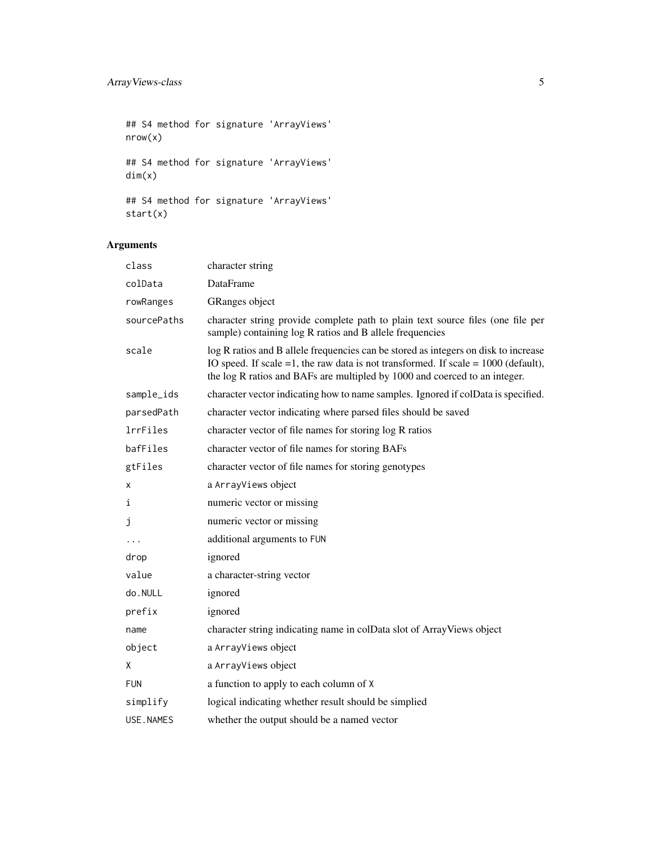## S4 method for signature 'ArrayViews' nrow(x) ## S4 method for signature 'ArrayViews' dim(x) ## S4 method for signature 'ArrayViews' start(x)

# Arguments

| class       | character string                                                                                                                                                                                                                                             |
|-------------|--------------------------------------------------------------------------------------------------------------------------------------------------------------------------------------------------------------------------------------------------------------|
| colData     | <b>DataFrame</b>                                                                                                                                                                                                                                             |
| rowRanges   | GRanges object                                                                                                                                                                                                                                               |
| sourcePaths | character string provide complete path to plain text source files (one file per<br>sample) containing log R ratios and B allele frequencies                                                                                                                  |
| scale       | log R ratios and B allele frequencies can be stored as integers on disk to increase<br>IO speed. If scale $=1$ , the raw data is not transformed. If scale $= 1000$ (default),<br>the log R ratios and BAFs are multipled by 1000 and coerced to an integer. |
| sample_ids  | character vector indicating how to name samples. Ignored if colData is specified.                                                                                                                                                                            |
| parsedPath  | character vector indicating where parsed files should be saved                                                                                                                                                                                               |
| lrrFiles    | character vector of file names for storing log R ratios                                                                                                                                                                                                      |
| bafFiles    | character vector of file names for storing BAFs                                                                                                                                                                                                              |
| gtFiles     | character vector of file names for storing genotypes                                                                                                                                                                                                         |
| X           | a ArrayViews object                                                                                                                                                                                                                                          |
| i           | numeric vector or missing                                                                                                                                                                                                                                    |
| j           | numeric vector or missing                                                                                                                                                                                                                                    |
|             | additional arguments to FUN                                                                                                                                                                                                                                  |
| drop        | ignored                                                                                                                                                                                                                                                      |
| value       | a character-string vector                                                                                                                                                                                                                                    |
| do.NULL     | ignored                                                                                                                                                                                                                                                      |
| prefix      | ignored                                                                                                                                                                                                                                                      |
| name        | character string indicating name in colData slot of ArrayViews object                                                                                                                                                                                        |
| object      | a ArrayViews object                                                                                                                                                                                                                                          |
| Χ           | a ArrayViews object                                                                                                                                                                                                                                          |
| <b>FUN</b>  | a function to apply to each column of X                                                                                                                                                                                                                      |
| simplify    | logical indicating whether result should be simplied                                                                                                                                                                                                         |
| USE.NAMES   | whether the output should be a named vector                                                                                                                                                                                                                  |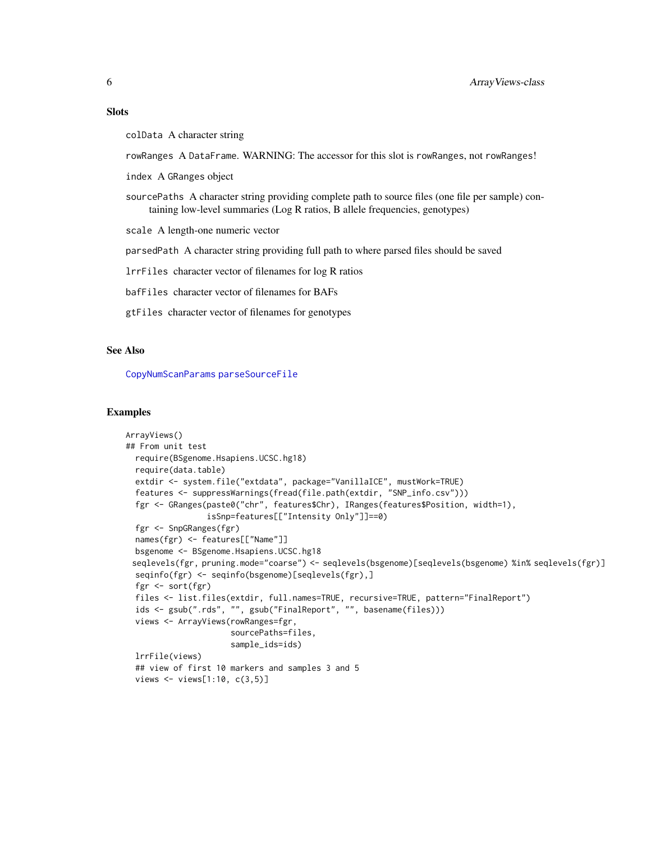#### <span id="page-5-0"></span>**Slots**

colData A character string

rowRanges A DataFrame. WARNING: The accessor for this slot is rowRanges, not rowRanges!

index A GRanges object

sourcePaths A character string providing complete path to source files (one file per sample) containing low-level summaries (Log R ratios, B allele frequencies, genotypes)

scale A length-one numeric vector

parsedPath A character string providing full path to where parsed files should be saved

lrrFiles character vector of filenames for log R ratios

bafFiles character vector of filenames for BAFs

gtFiles character vector of filenames for genotypes

#### See Also

[CopyNumScanParams](#page-11-1) [parseSourceFile](#page-32-1)

#### Examples

```
ArrayViews()
## From unit test
  require(BSgenome.Hsapiens.UCSC.hg18)
  require(data.table)
  extdir <- system.file("extdata", package="VanillaICE", mustWork=TRUE)
  features <- suppressWarnings(fread(file.path(extdir, "SNP_info.csv")))
  fgr <- GRanges(paste0("chr", features$Chr), IRanges(features$Position, width=1),
                 isSnp=features[["Intensity Only"]]==0)
  fgr <- SnpGRanges(fgr)
  names(fgr) <- features[["Name"]]
  bsgenome <- BSgenome.Hsapiens.UCSC.hg18
 seqlevels(fgr, pruning.mode="coarse") <- seqlevels(bsgenome)[seqlevels(bsgenome) %in% seqlevels(fgr)]
  seqinfo(fgr) <- seqinfo(bsgenome)[seqlevels(fgr),]
  fgr <- sort(fgr)
  files <- list.files(extdir, full.names=TRUE, recursive=TRUE, pattern="FinalReport")
  ids <- gsub(".rds", "", gsub("FinalReport", "", basename(files)))
  views <- ArrayViews(rowRanges=fgr,
                      sourcePaths=files,
                      sample_ids=ids)
  lrrFile(views)
  ## view of first 10 markers and samples 3 and 5
  views <- views[1:10, c(3,5)]
```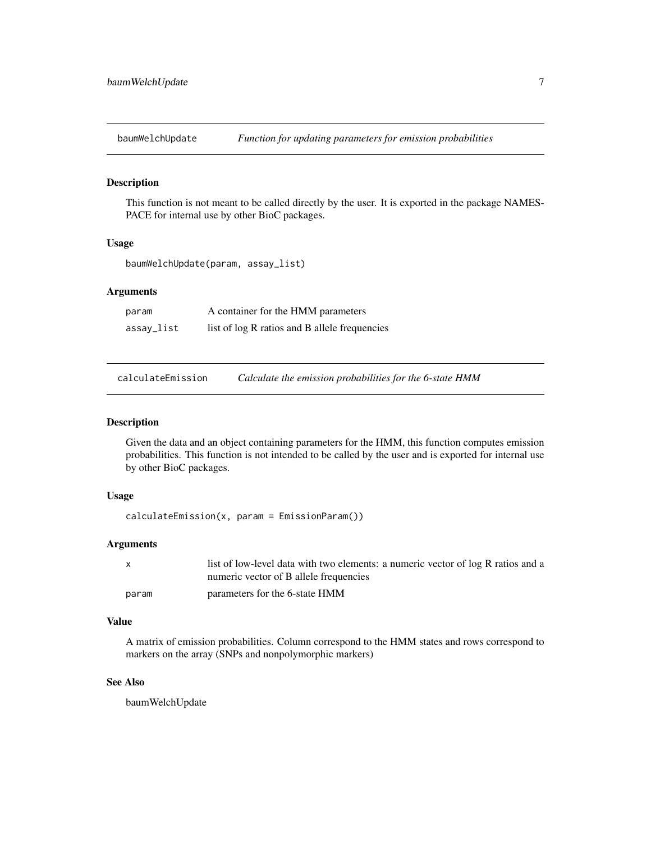<span id="page-6-0"></span>

This function is not meant to be called directly by the user. It is exported in the package NAMES-PACE for internal use by other BioC packages.

#### Usage

```
baumWelchUpdate(param, assay_list)
```
# Arguments

| param      | A container for the HMM parameters            |
|------------|-----------------------------------------------|
| assay_list | list of log R ratios and B allele frequencies |

calculateEmission *Calculate the emission probabilities for the 6-state HMM*

#### Description

Given the data and an object containing parameters for the HMM, this function computes emission probabilities. This function is not intended to be called by the user and is exported for internal use by other BioC packages.

#### Usage

```
calculateEmission(x, param = EmissionParam())
```
#### Arguments

| X     | list of low-level data with two elements: a numeric vector of log R ratios and a |
|-------|----------------------------------------------------------------------------------|
|       | numeric vector of B allele frequencies                                           |
| param | parameters for the 6-state HMM                                                   |

# Value

A matrix of emission probabilities. Column correspond to the HMM states and rows correspond to markers on the array (SNPs and nonpolymorphic markers)

#### See Also

baumWelchUpdate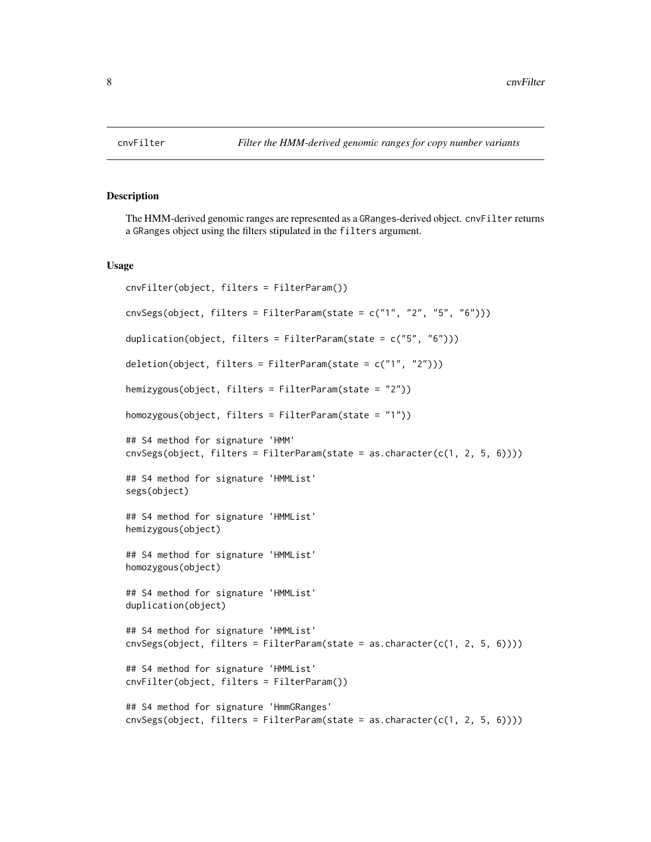The HMM-derived genomic ranges are represented as a GRanges-derived object. cnvFilter returns a GRanges object using the filters stipulated in the filters argument.

#### Usage

```
cnvFilter(object, filters = FilterParam())
\text{cnvSegs}(\text{object}, \text{filters} = \text{FilterParam}(\text{state} = \text{c}("1", "2", "5", "6"))duplication(object, filters = FilterParam(state = c("5", "6")))
deletion(object, filters = FilterParam(state = c("1", "2")))
hemizygous(object, filters = FilterParam(state = "2"))
homozygous(object, filters = FilterParam(state = "1"))
## S4 method for signature 'HMM'
\text{cuvSegs}(\text{object}, \text{filters} = \text{FilterParam}(\text{state} = \text{as}.\text{character}(\text{c}(1, 2, 5, 6))))## S4 method for signature 'HMMList'
segs(object)
## S4 method for signature 'HMMList'
hemizygous(object)
## S4 method for signature 'HMMList'
homozygous(object)
## S4 method for signature 'HMMList'
duplication(object)
## S4 method for signature 'HMMList'
cnvSegs(object, filters = FilterParam(state = as.character(c(1, 2, 5, 6))))
## S4 method for signature 'HMMList'
cnvFilter(object, filters = FilterParam())
## S4 method for signature 'HmmGRanges'
\text{cuvSegs}(\text{object}, \text{filters} = \text{FilterParam}(\text{state} = \text{as}.\text{character}(\text{c}(1, 2, 5, 6))))
```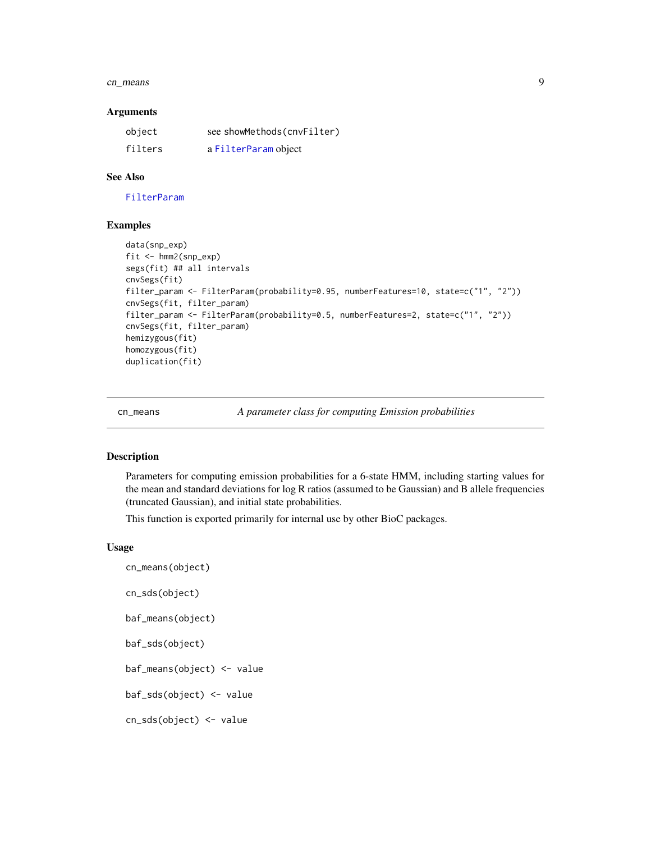#### <span id="page-8-0"></span>cn\_means 9

#### **Arguments**

| object  | see showMethods(cnvFilter) |
|---------|----------------------------|
| filters | a FilterParam object       |

#### See Also

[FilterParam](#page-15-1)

#### Examples

```
data(snp_exp)
fit <- hmm2(snp_exp)
segs(fit) ## all intervals
cnvSegs(fit)
filter_param <- FilterParam(probability=0.95, numberFeatures=10, state=c("1", "2"))
cnvSegs(fit, filter_param)
filter_param <- FilterParam(probability=0.5, numberFeatures=2, state=c("1", "2"))
cnvSegs(fit, filter_param)
hemizygous(fit)
homozygous(fit)
duplication(fit)
```
cn\_means *A parameter class for computing Emission probabilities*

#### <span id="page-8-1"></span>Description

Parameters for computing emission probabilities for a 6-state HMM, including starting values for the mean and standard deviations for log R ratios (assumed to be Gaussian) and B allele frequencies (truncated Gaussian), and initial state probabilities.

This function is exported primarily for internal use by other BioC packages.

#### Usage

```
cn_means(object)
cn_sds(object)
baf_means(object)
baf_sds(object)
baf_means(object) <- value
baf_sds(object) <- value
cn_sds(object) <- value
```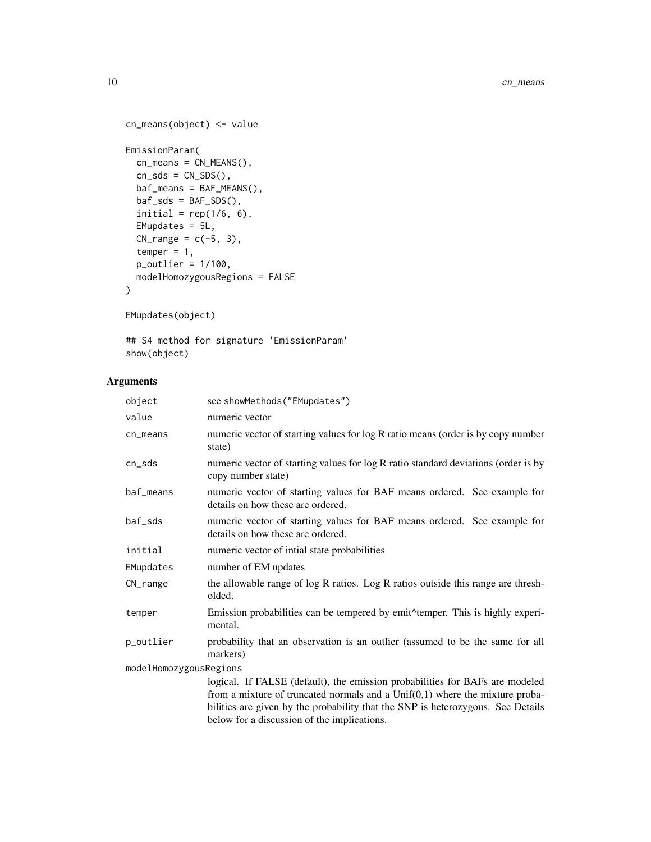```
cn_means(object) <- value
EmissionParam(
  cn_means = CN_MEANS(),
 cn_sds = CN_sDS(),
 baf_means = BAF_MEANS(),
 baf_sds = BAF_sDS(),
  initial = rep(1/6, 6),EMupdates = 5L,
 CN\_range = c(-5, 3),
  temper = 1,
 p_outlier = 1/100,
 modelHomozygousRegions = FALSE
\mathcal{L}
```

```
EMupdates(object)
```
## S4 method for signature 'EmissionParam' show(object)

# Arguments

| object                 | see showMethods("EMupdates")                                                                                                                                                                                                                                                                     |  |
|------------------------|--------------------------------------------------------------------------------------------------------------------------------------------------------------------------------------------------------------------------------------------------------------------------------------------------|--|
| value                  | numeric vector                                                                                                                                                                                                                                                                                   |  |
| cn_means               | numeric vector of starting values for log R ratio means (order is by copy number<br>state)                                                                                                                                                                                                       |  |
| cn_sds                 | numeric vector of starting values for log R ratio standard deviations (order is by<br>copy number state)                                                                                                                                                                                         |  |
| baf_means              | numeric vector of starting values for BAF means ordered. See example for<br>details on how these are ordered.                                                                                                                                                                                    |  |
| baf_sds                | numeric vector of starting values for BAF means ordered. See example for<br>details on how these are ordered.                                                                                                                                                                                    |  |
| initial                | numeric vector of intial state probabilities                                                                                                                                                                                                                                                     |  |
| EMupdates              | number of EM updates                                                                                                                                                                                                                                                                             |  |
| CN_range               | the allowable range of log R ratios. Log R ratios outside this range are thresh-<br>olded.                                                                                                                                                                                                       |  |
| temper                 | Emission probabilities can be tempered by emit <sup><math>\land</math></sup> temper. This is highly experi-<br>mental.                                                                                                                                                                           |  |
| p_outlier              | probability that an observation is an outlier (assumed to be the same for all<br>markers)                                                                                                                                                                                                        |  |
| modelHomozygousRegions |                                                                                                                                                                                                                                                                                                  |  |
|                        | logical. If FALSE (default), the emission probabilities for BAFs are modeled<br>from a mixture of truncated normals and a $Unif(0,1)$ where the mixture proba-<br>bilities are given by the probability that the SNP is heterozygous. See Details<br>below for a discussion of the implications. |  |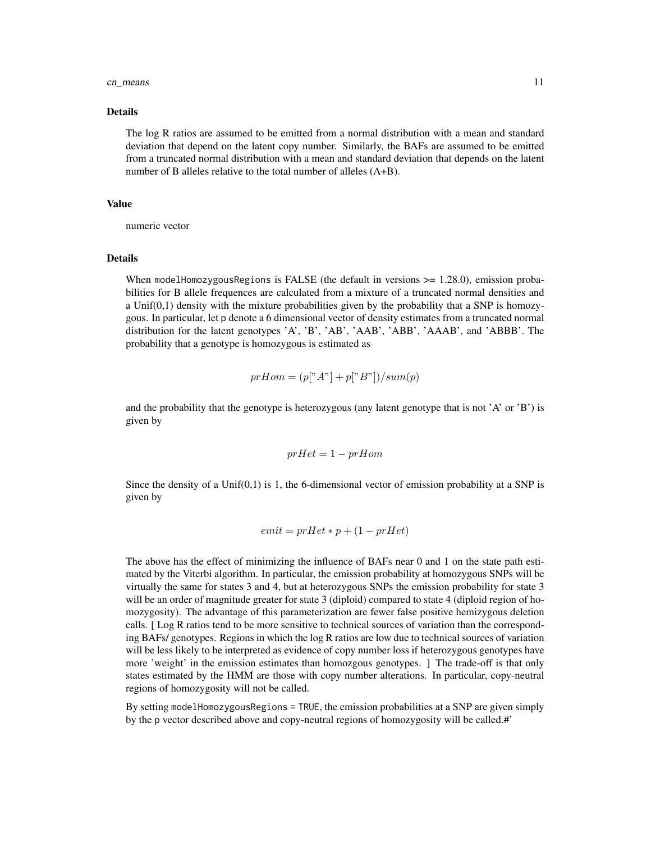#### cn\_means 11

#### Details

The log R ratios are assumed to be emitted from a normal distribution with a mean and standard deviation that depend on the latent copy number. Similarly, the BAFs are assumed to be emitted from a truncated normal distribution with a mean and standard deviation that depends on the latent number of B alleles relative to the total number of alleles (A+B).

#### Value

numeric vector

#### Details

When modelHomozygousRegions is FALSE (the default in versions  $\ge$  = 1.28.0), emission probabilities for B allele frequences are calculated from a mixture of a truncated normal densities and a Unif(0,1) density with the mixture probabilities given by the probability that a SNP is homozygous. In particular, let p denote a 6 dimensional vector of density estimates from a truncated normal distribution for the latent genotypes 'A', 'B', 'AB', 'AAB', 'ABB', 'AAAB', and 'ABBB'. The probability that a genotype is homozygous is estimated as

$$
prHom = (p[^{"A"}] + p[^{"B"}])/sum(p)
$$

and the probability that the genotype is heterozygous (any latent genotype that is not 'A' or 'B') is given by

$$
prHet=1-prHom
$$

Since the density of a Unif $(0,1)$  is 1, the 6-dimensional vector of emission probability at a SNP is given by

$$
emit = prHet *p + (1-prHet)
$$

The above has the effect of minimizing the influence of BAFs near 0 and 1 on the state path estimated by the Viterbi algorithm. In particular, the emission probability at homozygous SNPs will be virtually the same for states 3 and 4, but at heterozygous SNPs the emission probability for state 3 will be an order of magnitude greater for state 3 (diploid) compared to state 4 (diploid region of homozygosity). The advantage of this parameterization are fewer false positive hemizygous deletion calls. [ Log R ratios tend to be more sensitive to technical sources of variation than the corresponding BAFs/ genotypes. Regions in which the log R ratios are low due to technical sources of variation will be less likely to be interpreted as evidence of copy number loss if heterozygous genotypes have more 'weight' in the emission estimates than homozgous genotypes. ] The trade-off is that only states estimated by the HMM are those with copy number alterations. In particular, copy-neutral regions of homozygosity will not be called.

By setting modelHomozygousRegions = TRUE, the emission probabilities at a SNP are given simply by the p vector described above and copy-neutral regions of homozygosity will be called.#'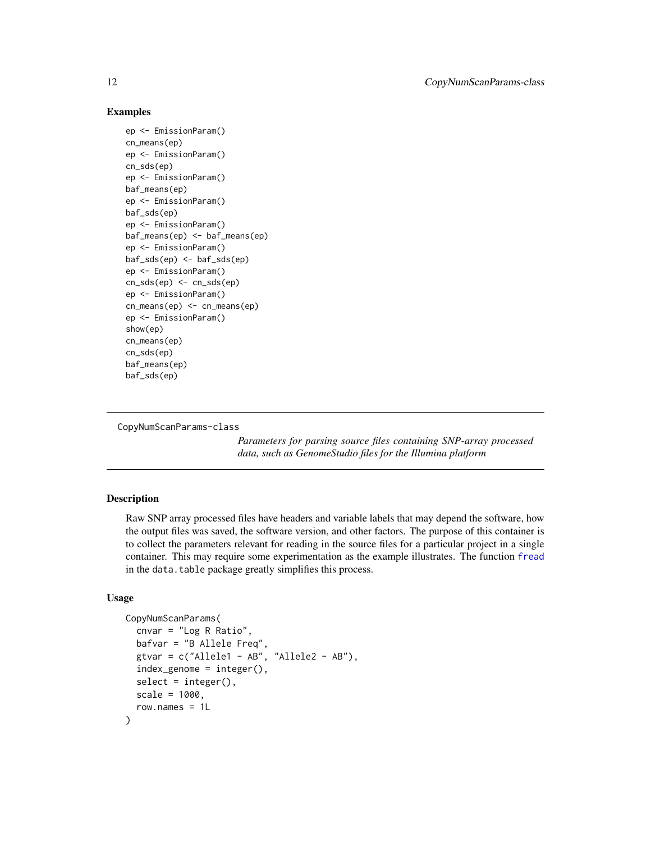#### Examples

```
ep <- EmissionParam()
cn_means(ep)
ep <- EmissionParam()
cn_sds(ep)
ep <- EmissionParam()
baf_means(ep)
ep <- EmissionParam()
baf_sds(ep)
ep <- EmissionParam()
baf_means(ep) <- baf_means(ep)
ep <- EmissionParam()
baf_sds(ep) <- baf_sds(ep)
ep <- EmissionParam()
cn_sds(ep) <- cn_sds(ep)
ep <- EmissionParam()
cn_means(ep) <- cn_means(ep)
ep <- EmissionParam()
show(ep)
cn_means(ep)
cn_sds(ep)
baf_means(ep)
baf_sds(ep)
```
CopyNumScanParams-class

*Parameters for parsing source files containing SNP-array processed data, such as GenomeStudio files for the Illumina platform*

#### <span id="page-11-1"></span>Description

Raw SNP array processed files have headers and variable labels that may depend the software, how the output files was saved, the software version, and other factors. The purpose of this container is to collect the parameters relevant for reading in the source files for a particular project in a single container. This may require some experimentation as the example illustrates. The function [fread](#page-0-0) in the data.table package greatly simplifies this process.

#### Usage

```
CopyNumScanParams(
  cnvar = "Log R Ratio",
  bafvar = "B Allele Freq",
  gtvar = c("Allele1 - AB", "Allele2 - AB"),
  index_genome = integer(),
  select = integer(),
  scale = 1000,
  row.names = 1L
)
```
<span id="page-11-0"></span>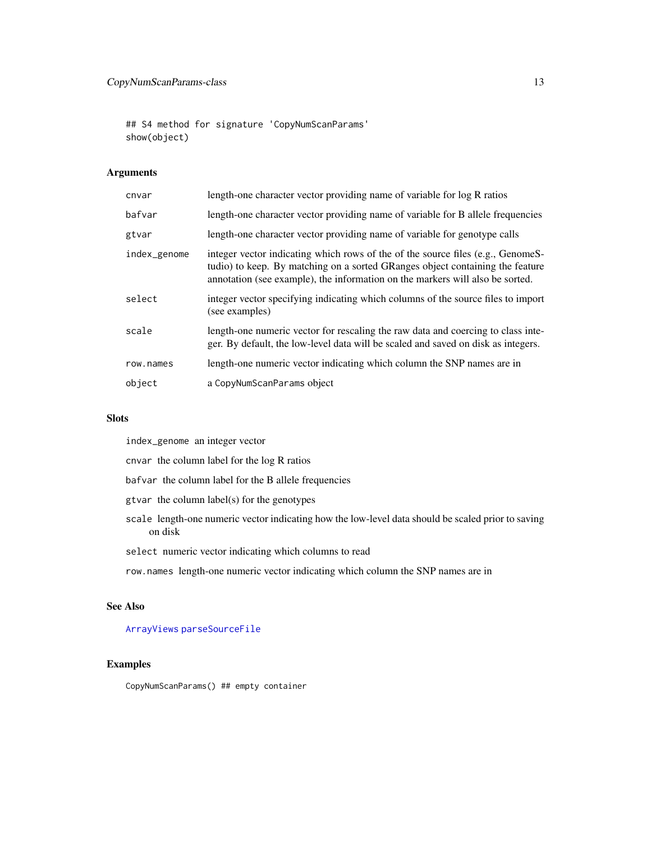<span id="page-12-0"></span>## S4 method for signature 'CopyNumScanParams' show(object)

# Arguments

| cnvar        | length-one character vector providing name of variable for log R ratios                                                                                                                                                                           |
|--------------|---------------------------------------------------------------------------------------------------------------------------------------------------------------------------------------------------------------------------------------------------|
| bafvar       | length-one character vector providing name of variable for B allele frequencies                                                                                                                                                                   |
| gtvar        | length-one character vector providing name of variable for genotype calls                                                                                                                                                                         |
| index_genome | integer vector indicating which rows of the of the source files (e.g., GenomeS-<br>tudio) to keep. By matching on a sorted GRanges object containing the feature<br>annotation (see example), the information on the markers will also be sorted. |
| select       | integer vector specifying indicating which columns of the source files to import<br>(see examples)                                                                                                                                                |
| scale        | length-one numeric vector for rescaling the raw data and coercing to class inte-<br>ger. By default, the low-level data will be scaled and saved on disk as integers.                                                                             |
| row.names    | length-one numeric vector indicating which column the SNP names are in                                                                                                                                                                            |
| object       | a CopyNumScanParams object                                                                                                                                                                                                                        |

#### Slots

index\_genome an integer vector

cnvar the column label for the log R ratios

- bafvar the column label for the B allele frequencies
- gtvar the column label(s) for the genotypes
- scale length-one numeric vector indicating how the low-level data should be scaled prior to saving on disk
- select numeric vector indicating which columns to read
- row.names length-one numeric vector indicating which column the SNP names are in

#### See Also

[ArrayViews](#page-3-1) [parseSourceFile](#page-32-1)

#### Examples

CopyNumScanParams() ## empty container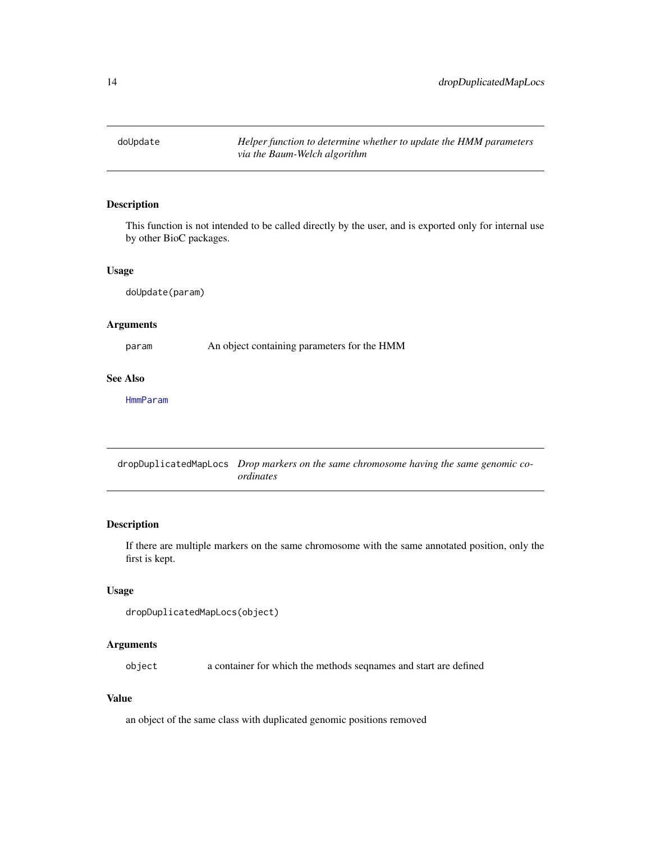<span id="page-13-0"></span>

This function is not intended to be called directly by the user, and is exported only for internal use by other BioC packages.

#### Usage

doUpdate(param)

#### Arguments

param An object containing parameters for the HMM

#### See Also

[HmmParam](#page-24-1)

dropDuplicatedMapLocs *Drop markers on the same chromosome having the same genomic coordinates*

## Description

If there are multiple markers on the same chromosome with the same annotated position, only the first is kept.

# Usage

```
dropDuplicatedMapLocs(object)
```
#### Arguments

object a container for which the methods seqnames and start are defined

#### Value

an object of the same class with duplicated genomic positions removed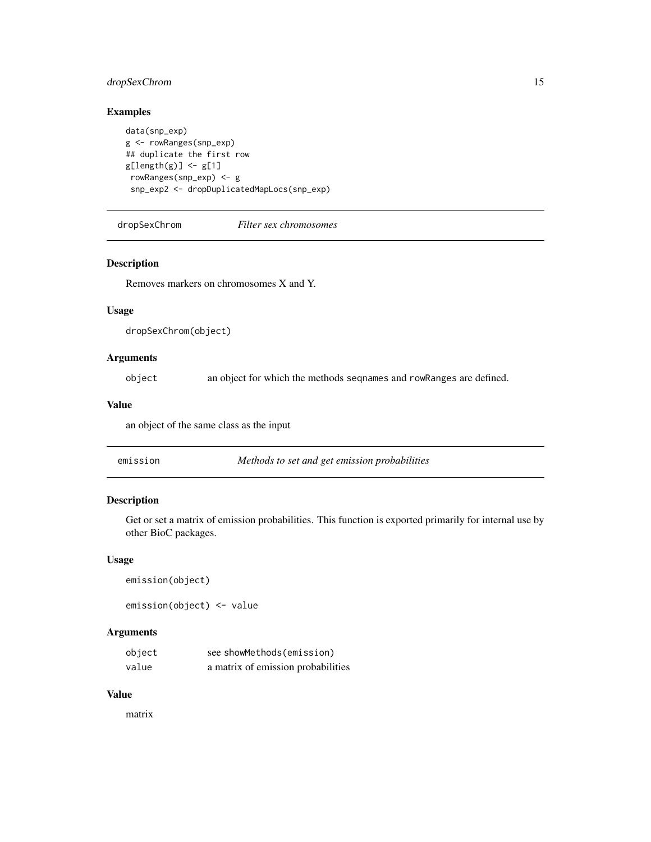# <span id="page-14-0"></span>dropSexChrom 15

# Examples

```
data(snp_exp)
g <- rowRanges(snp_exp)
## duplicate the first row
g[length(g)] \leftarrow g[1]rowRanges(snp_exp) <- g
 snp_exp2 <- dropDuplicatedMapLocs(snp_exp)
```
dropSexChrom *Filter sex chromosomes*

#### Description

Removes markers on chromosomes X and Y.

#### Usage

```
dropSexChrom(object)
```
# Arguments

object an object for which the methods seqnames and rowRanges are defined.

#### Value

an object of the same class as the input

| Methods to set and get emission probabilities<br>emission |  |
|-----------------------------------------------------------|--|
|-----------------------------------------------------------|--|

# Description

Get or set a matrix of emission probabilities. This function is exported primarily for internal use by other BioC packages.

#### Usage

```
emission(object)
emission(object) <- value
```
#### Arguments

| object | see showMethods(emission)          |
|--------|------------------------------------|
| value  | a matrix of emission probabilities |

### Value

matrix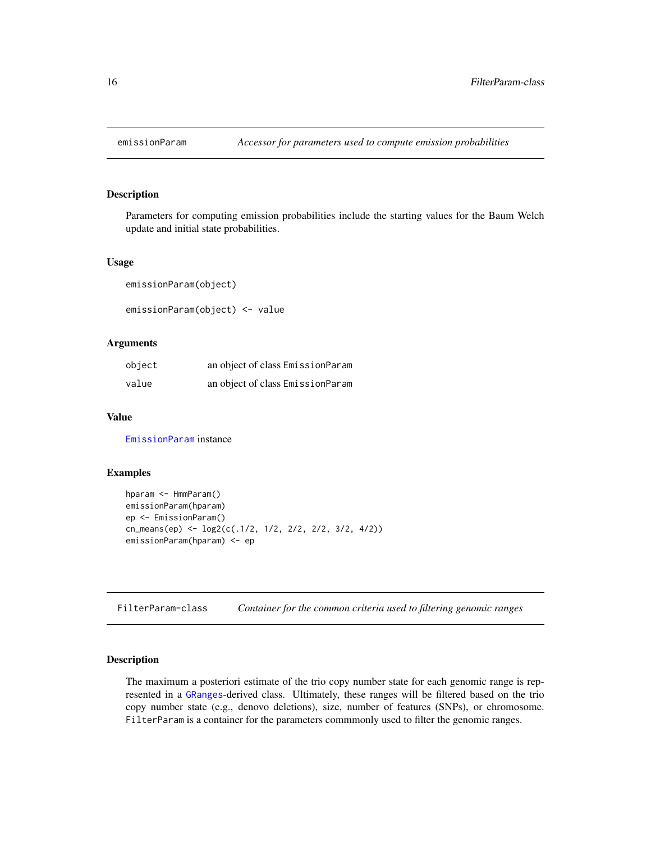<span id="page-15-0"></span>

Parameters for computing emission probabilities include the starting values for the Baum Welch update and initial state probabilities.

#### Usage

emissionParam(object)

emissionParam(object) <- value

#### Arguments

| object | an object of class EmissionParam |
|--------|----------------------------------|
| value  | an object of class EmissionParam |

#### Value

[EmissionParam](#page-8-1) instance

# Examples

```
hparam <- HmmParam()
emissionParam(hparam)
ep <- EmissionParam()
cn_means(ep) <- log2(c(.1/2, 1/2, 2/2, 2/2, 3/2, 4/2))
emissionParam(hparam) <- ep
```
FilterParam-class *Container for the common criteria used to filtering genomic ranges*

# <span id="page-15-1"></span>Description

The maximum a posteriori estimate of the trio copy number state for each genomic range is represented in a [GRanges](#page-0-0)-derived class. Ultimately, these ranges will be filtered based on the trio copy number state (e.g., denovo deletions), size, number of features (SNPs), or chromosome. FilterParam is a container for the parameters commmonly used to filter the genomic ranges.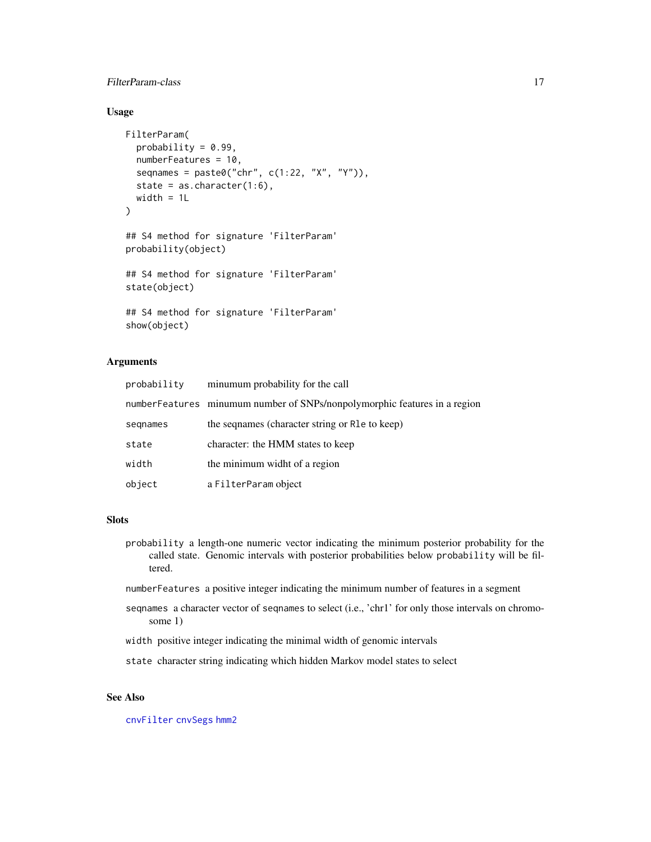# <span id="page-16-0"></span>FilterParam-class 17

# Usage

```
FilterParam(
  probability = 0.99,
  numberFeatures = 10,
  seqnames = past@("chr", c(1:22, "X", "Y")),
  state = as. character(1:6),
 width = 1L
)
## S4 method for signature 'FilterParam'
probability(object)
## S4 method for signature 'FilterParam'
state(object)
## S4 method for signature 'FilterParam'
show(object)
```
#### Arguments

| probability | minumum probability for the call                                          |
|-------------|---------------------------------------------------------------------------|
|             | numberFeatures minumum number of SNPs/nonpolymorphic features in a region |
| segnames    | the segnames (character string or R1e to keep)                            |
| state       | character: the HMM states to keep                                         |
| width       | the minimum widht of a region                                             |
| object      | a FilterParam object                                                      |

# Slots

- probability a length-one numeric vector indicating the minimum posterior probability for the called state. Genomic intervals with posterior probabilities below probability will be filtered.
- numberFeatures a positive integer indicating the minimum number of features in a segment
- seqnames a character vector of seqnames to select (i.e., 'chr1' for only those intervals on chromosome 1)
- width positive integer indicating the minimal width of genomic intervals
- state character string indicating which hidden Markov model states to select

# See Also

[cnvFilter](#page-7-1) [cnvSegs](#page-7-2) [hmm2](#page-20-1)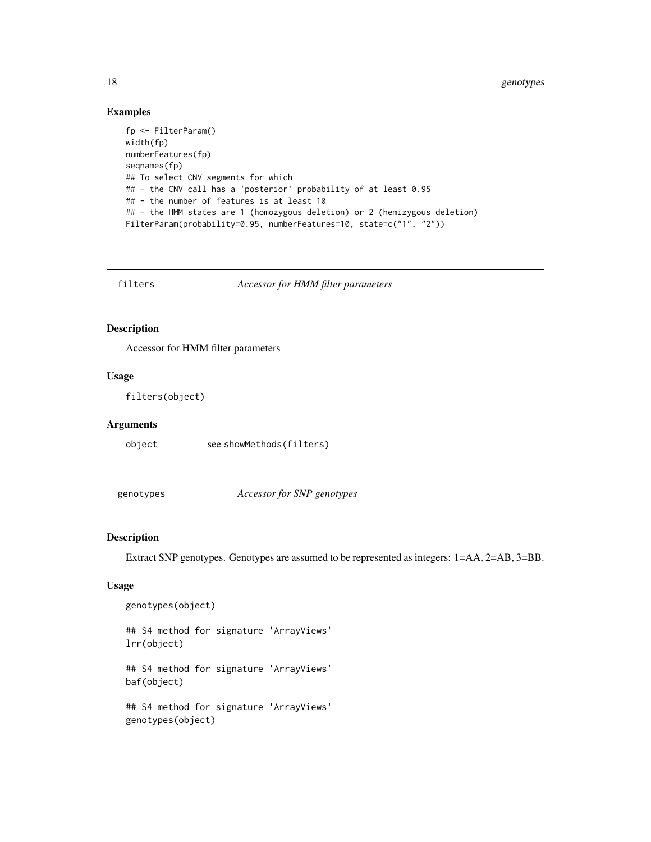#### Examples

```
fp <- FilterParam()
width(fp)
numberFeatures(fp)
seqnames(fp)
## To select CNV segments for which
## - the CNV call has a 'posterior' probability of at least 0.95
## - the number of features is at least 10
## - the HMM states are 1 (homozygous deletion) or 2 (hemizygous deletion)
FilterParam(probability=0.95, numberFeatures=10, state=c("1", "2"))
```
filters *Accessor for HMM filter parameters*

# Description

Accessor for HMM filter parameters

#### Usage

filters(object)

#### Arguments

object see showMethods(filters)

genotypes *Accessor for SNP genotypes*

#### Description

Extract SNP genotypes. Genotypes are assumed to be represented as integers: 1=AA, 2=AB, 3=BB.

# Usage

```
genotypes(object)
```
## S4 method for signature 'ArrayViews' lrr(object)

## S4 method for signature 'ArrayViews' baf(object)

## S4 method for signature 'ArrayViews' genotypes(object)

<span id="page-17-0"></span>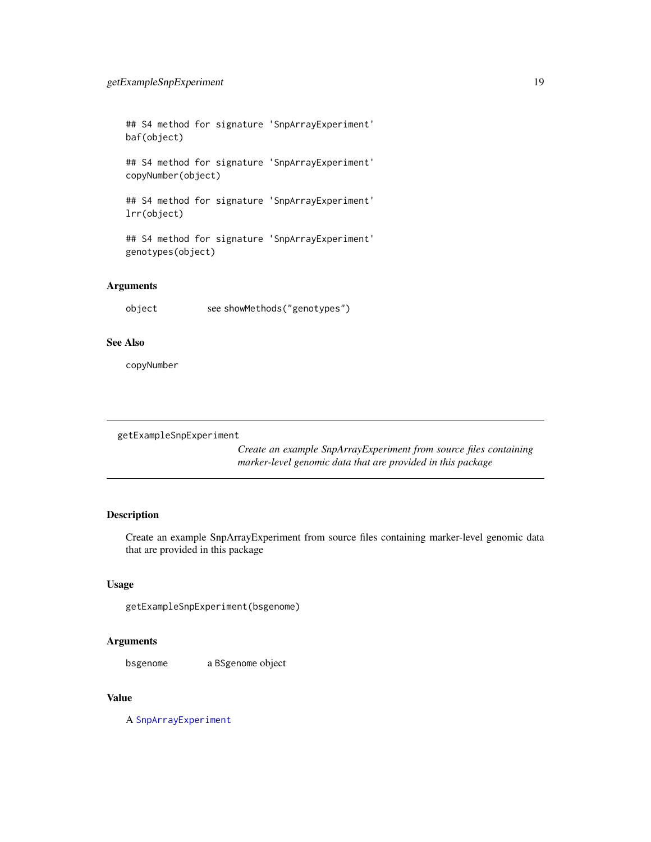<span id="page-18-0"></span>## S4 method for signature 'SnpArrayExperiment' baf(object)

## S4 method for signature 'SnpArrayExperiment' copyNumber(object)

## S4 method for signature 'SnpArrayExperiment' lrr(object)

## S4 method for signature 'SnpArrayExperiment' genotypes(object)

# Arguments

object see showMethods("genotypes")

#### See Also

copyNumber

getExampleSnpExperiment

*Create an example SnpArrayExperiment from source files containing marker-level genomic data that are provided in this package*

# Description

Create an example SnpArrayExperiment from source files containing marker-level genomic data that are provided in this package

#### Usage

getExampleSnpExperiment(bsgenome)

#### Arguments

bsgenome a BSgenome object

# Value

A [SnpArrayExperiment](#page-36-1)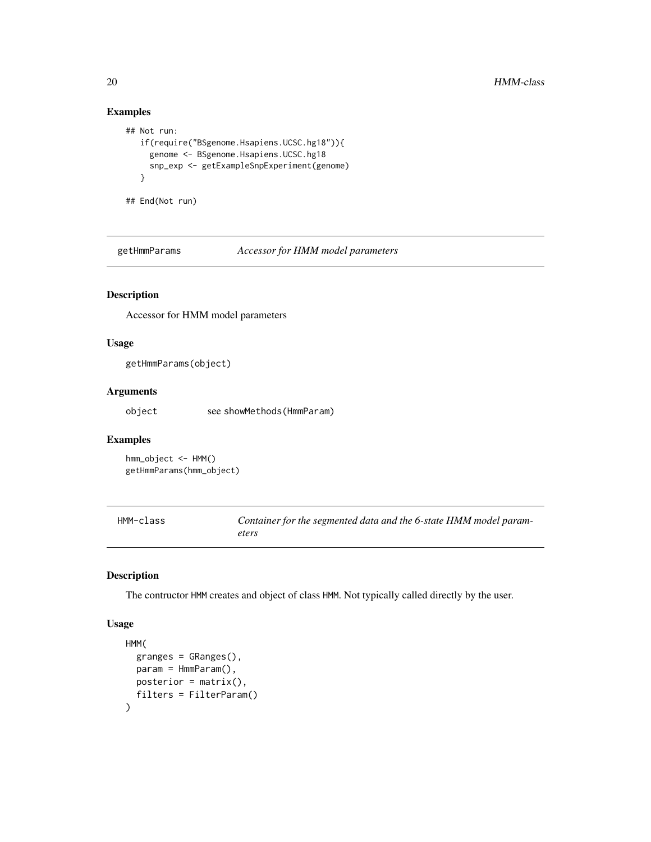# Examples

```
## Not run:
  if(require("BSgenome.Hsapiens.UCSC.hg18")){
    genome <- BSgenome.Hsapiens.UCSC.hg18
    snp_exp <- getExampleSnpExperiment(genome)
  }
## End(Not run)
```
getHmmParams *Accessor for HMM model parameters*

# Description

Accessor for HMM model parameters

#### Usage

getHmmParams(object)

# Arguments

object see showMethods(HmmParam)

#### Examples

hmm\_object <- HMM() getHmmParams(hmm\_object)

<span id="page-19-1"></span>HMM-class *Container for the segmented data and the 6-state HMM model parameters*

#### Description

The contructor HMM creates and object of class HMM. Not typically called directly by the user.

#### Usage

```
HMM(
  granges = GRanges(),
  param = HmmParam(),
  posterior = matrix(),
  filters = FilterParam()
\mathcal{E}
```
<span id="page-19-0"></span>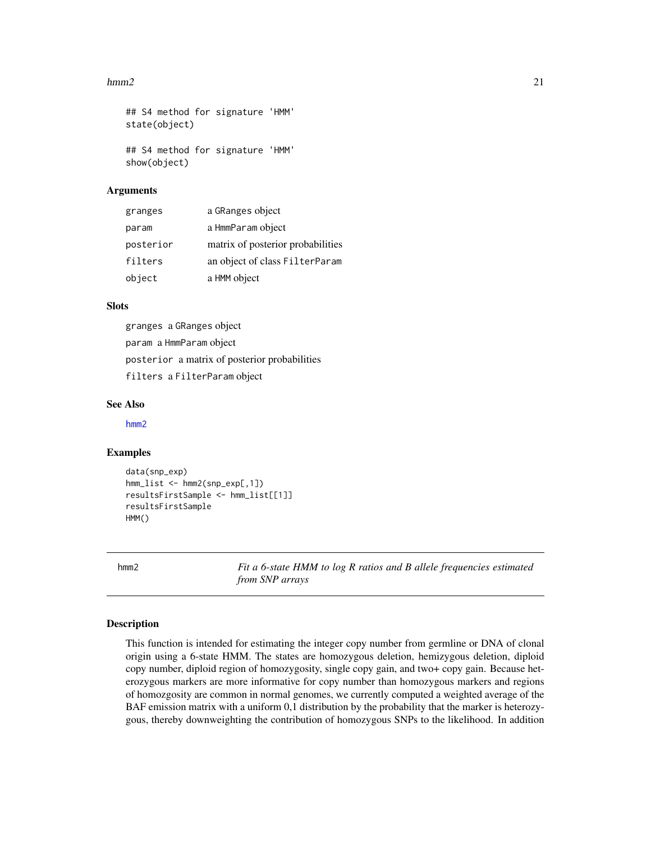#### <span id="page-20-0"></span> $hmm2$  21

```
## S4 method for signature 'HMM'
state(object)
## S4 method for signature 'HMM'
show(object)
```
#### Arguments

| granges   | a GRanges object                  |
|-----------|-----------------------------------|
| param     | a HmmParam object                 |
| posterior | matrix of posterior probabilities |
| filters   | an object of class FilterParam    |
| object    | a HMM object                      |

#### **Slots**

granges a GRanges object param a HmmParam object posterior a matrix of posterior probabilities filters a FilterParam object

#### See Also

[hmm2](#page-20-1)

#### Examples

```
data(snp_exp)
hmm_list <- hmm2(snp_exp[,1])
resultsFirstSample <- hmm_list[[1]]
resultsFirstSample
HMM()
```
<span id="page-20-1"></span>hmm2 *Fit a 6-state HMM to log R ratios and B allele frequencies estimated from SNP arrays*

#### Description

This function is intended for estimating the integer copy number from germline or DNA of clonal origin using a 6-state HMM. The states are homozygous deletion, hemizygous deletion, diploid copy number, diploid region of homozygosity, single copy gain, and two+ copy gain. Because heterozygous markers are more informative for copy number than homozygous markers and regions of homozgosity are common in normal genomes, we currently computed a weighted average of the BAF emission matrix with a uniform 0,1 distribution by the probability that the marker is heterozygous, thereby downweighting the contribution of homozygous SNPs to the likelihood. In addition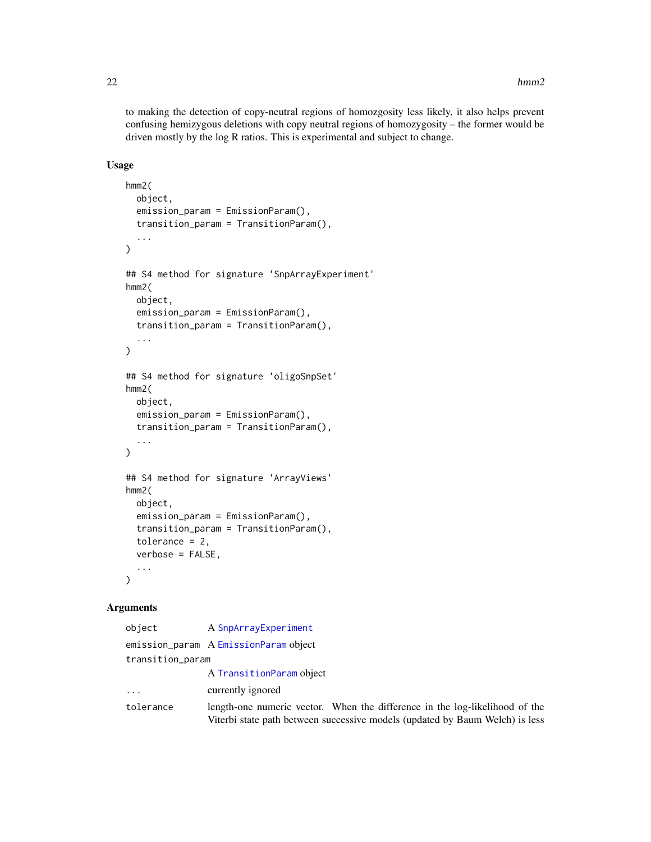<span id="page-21-0"></span>to making the detection of copy-neutral regions of homozgosity less likely, it also helps prevent confusing hemizygous deletions with copy neutral regions of homozygosity – the former would be driven mostly by the log R ratios. This is experimental and subject to change.

#### Usage

```
hmm2(
  object,
  emission_param = EmissionParam(),
  transition_param = TransitionParam(),
  ...
\mathcal{L}## S4 method for signature 'SnpArrayExperiment'
hmm2(
 object,
  emission_param = EmissionParam(),
  transition_param = TransitionParam(),
  ...
\mathcal{L}## S4 method for signature 'oligoSnpSet'
hmm2(
 object,
  emission_param = EmissionParam(),
  transition_param = TransitionParam(),
  ...
)
## S4 method for signature 'ArrayViews'
hmm2(
 object,
  emission_param = EmissionParam(),
  transition_param = TransitionParam(),
  tolerance = 2,
  verbose = FALSE,
  ...
\mathcal{L}
```
#### Arguments

| object           | A SnpArrayExperiment                                                                                                                                        |  |
|------------------|-------------------------------------------------------------------------------------------------------------------------------------------------------------|--|
|                  | emission_param A EmissionParam object                                                                                                                       |  |
| transition_param |                                                                                                                                                             |  |
|                  | A TransitionParam object                                                                                                                                    |  |
| $\ddots$         | currently ignored                                                                                                                                           |  |
| tolerance        | length-one numeric vector. When the difference in the log-likelihood of the<br>Viterbi state path between successive models (updated by Baum Welch) is less |  |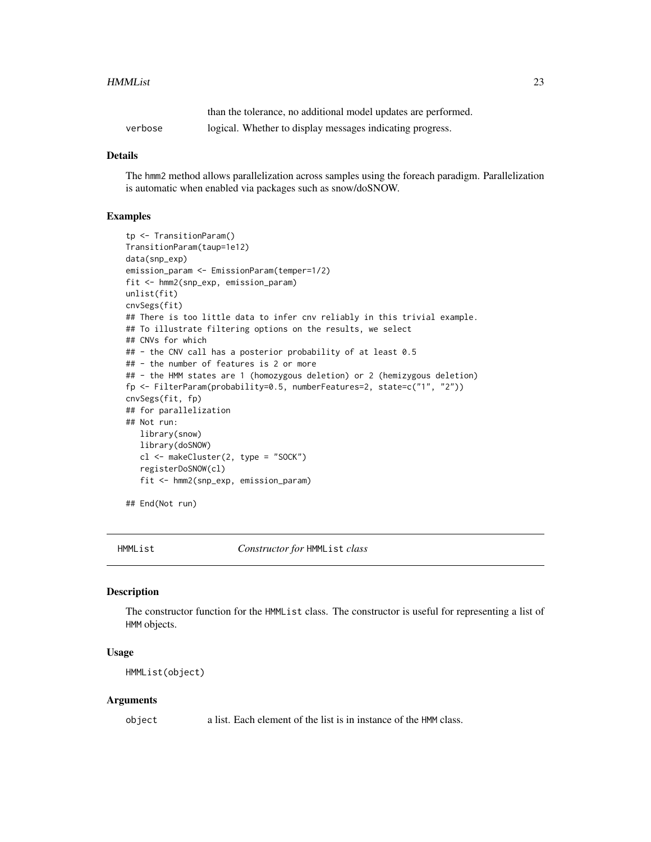#### <span id="page-22-0"></span>HMMList 23

|         | than the tolerance, no additional model updates are performed. |
|---------|----------------------------------------------------------------|
| verbose | logical. Whether to display messages indicating progress.      |

#### Details

The hmm2 method allows parallelization across samples using the foreach paradigm. Parallelization is automatic when enabled via packages such as snow/doSNOW.

#### Examples

```
tp <- TransitionParam()
TransitionParam(taup=1e12)
data(snp_exp)
emission_param <- EmissionParam(temper=1/2)
fit <- hmm2(snp_exp, emission_param)
unlist(fit)
cnvSegs(fit)
## There is too little data to infer cnv reliably in this trivial example.
## To illustrate filtering options on the results, we select
## CNVs for which
## - the CNV call has a posterior probability of at least 0.5
## - the number of features is 2 or more
## - the HMM states are 1 (homozygous deletion) or 2 (hemizygous deletion)
fp <- FilterParam(probability=0.5, numberFeatures=2, state=c("1", "2"))
cnvSegs(fit, fp)
## for parallelization
## Not run:
  library(snow)
   library(doSNOW)
   cl <- makeCluster(2, type = "SOCK")
   registerDoSNOW(cl)
   fit <- hmm2(snp_exp, emission_param)
## End(Not run)
```
HMMList *Constructor for* HMMList *class*

# **Description**

The constructor function for the HMMList class. The constructor is useful for representing a list of HMM objects.

#### Usage

HMMList(object)

#### Arguments

object a list. Each element of the list is in instance of the HMM class.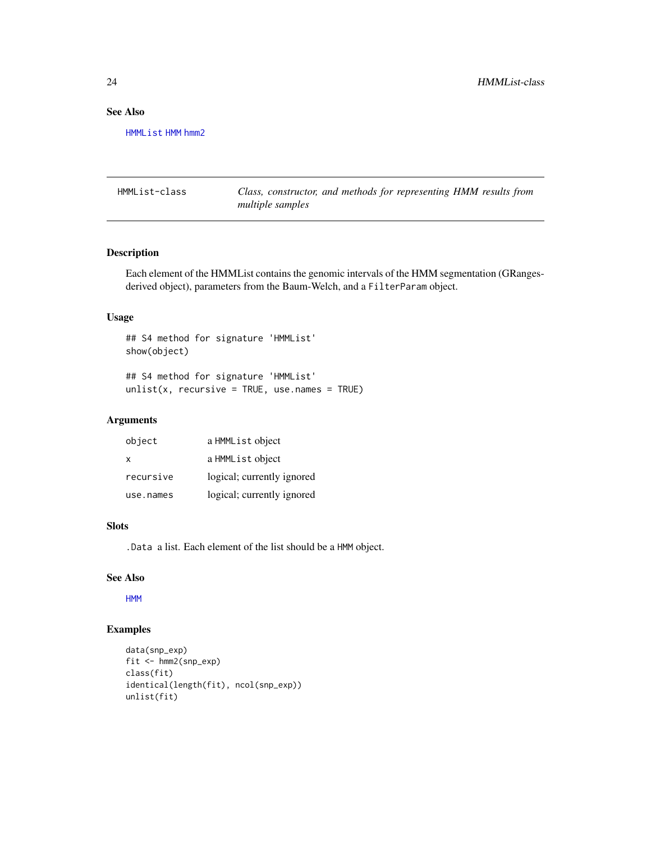# See Also

[HMMList](#page-23-1) [HMM](#page-19-1) [hmm2](#page-20-1)

<span id="page-23-1"></span>HMMList-class *Class, constructor, and methods for representing HMM results from multiple samples*

# Description

Each element of the HMMList contains the genomic intervals of the HMM segmentation (GRangesderived object), parameters from the Baum-Welch, and a FilterParam object.

#### Usage

```
## S4 method for signature 'HMMList'
show(object)
## S4 method for signature 'HMMList'
```
 $unlist(x, recursive = TRUE, use.name = TRUE)$ 

# Arguments

| object    | a HMMList object           |
|-----------|----------------------------|
| x         | a HMML ist object          |
| recursive | logical; currently ignored |
| use.names | logical; currently ignored |

# Slots

.Data a list. Each element of the list should be a HMM object.

# See Also

[HMM](#page-19-1)

# Examples

```
data(snp_exp)
fit <- hmm2(snp_exp)
class(fit)
identical(length(fit), ncol(snp_exp))
unlist(fit)
```
<span id="page-23-0"></span>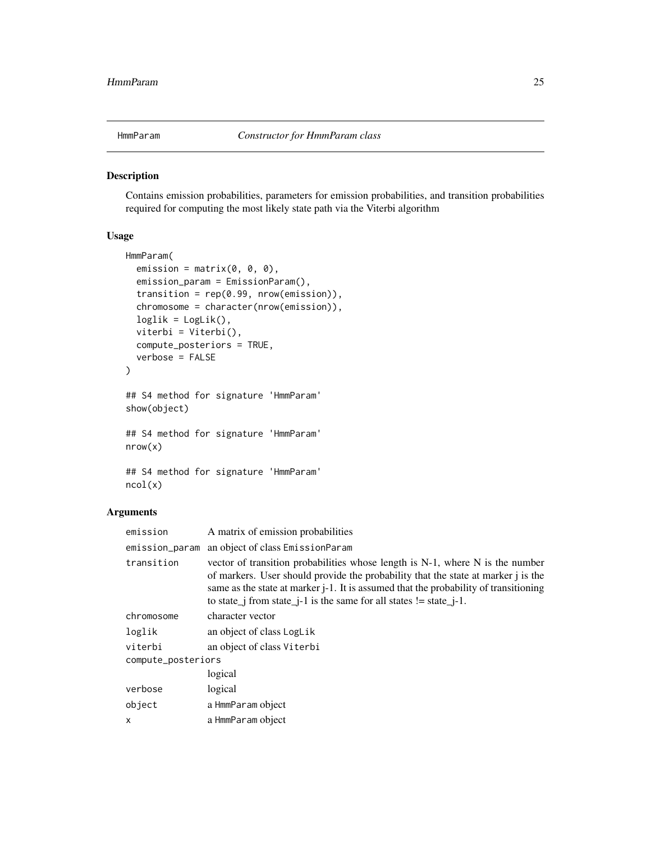<span id="page-24-1"></span><span id="page-24-0"></span>

Contains emission probabilities, parameters for emission probabilities, and transition probabilities required for computing the most likely state path via the Viterbi algorithm

# Usage

```
HmmParam(
  emission = matrix(0, 0, 0),emission_param = EmissionParam(),
  transition = rep(0.99, nrow(emission)),chromosome = character(nrow(emission)),
  loglik = LogList(),viterbi = Viterbi(),
  compute_posteriors = TRUE,
  verbose = FALSE
)
## S4 method for signature 'HmmParam'
show(object)
## S4 method for signature 'HmmParam'
nrow(x)
## S4 method for signature 'HmmParam'
ncol(x)
```
# Arguments

| emission           | A matrix of emission probabilities                                                                                                                                                                                                                                                                                                            |  |
|--------------------|-----------------------------------------------------------------------------------------------------------------------------------------------------------------------------------------------------------------------------------------------------------------------------------------------------------------------------------------------|--|
| emission_param     | an object of class EmissionParam                                                                                                                                                                                                                                                                                                              |  |
| transition         | vector of transition probabilities whose length is $N-1$ , where N is the number<br>of markers. User should provide the probability that the state at marker j is the<br>same as the state at marker <i>j</i> -1. It is assumed that the probability of transitioning<br>to state_j from state_j-1 is the same for all states $!=$ state_j-1. |  |
| chromosome         | character vector                                                                                                                                                                                                                                                                                                                              |  |
| loglik             | an object of class LogLik                                                                                                                                                                                                                                                                                                                     |  |
| viterbi            | an object of class Viterbi                                                                                                                                                                                                                                                                                                                    |  |
| compute_posteriors |                                                                                                                                                                                                                                                                                                                                               |  |
|                    | logical                                                                                                                                                                                                                                                                                                                                       |  |
| verbose            | logical                                                                                                                                                                                                                                                                                                                                       |  |
| object             | a HmmParam object                                                                                                                                                                                                                                                                                                                             |  |
| x                  | a HmmParam object                                                                                                                                                                                                                                                                                                                             |  |
|                    |                                                                                                                                                                                                                                                                                                                                               |  |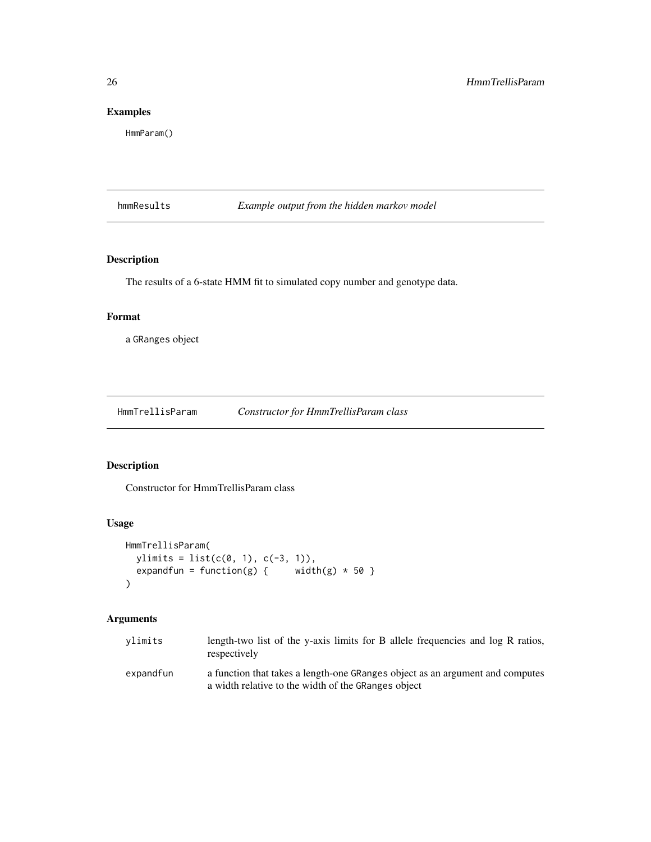# Examples

HmmParam()

hmmResults *Example output from the hidden markov model*

# Description

The results of a 6-state HMM fit to simulated copy number and genotype data.

#### Format

a GRanges object

HmmTrellisParam *Constructor for HmmTrellisParam class*

# Description

Constructor for HmmTrellisParam class

# Usage

```
HmmTrellisParam(
 ylimits = list(c(0, 1), c(-3, 1)),
 expandfun = function(g) { width(g) * 50 }
)
```
# Arguments

| vlimits   | length-two list of the y-axis limits for B allele frequencies and log R ratios,<br>respectively                                      |
|-----------|--------------------------------------------------------------------------------------------------------------------------------------|
| expandfun | a function that takes a length-one GRanges object as an argument and computes<br>a width relative to the width of the GRanges object |

<span id="page-25-0"></span>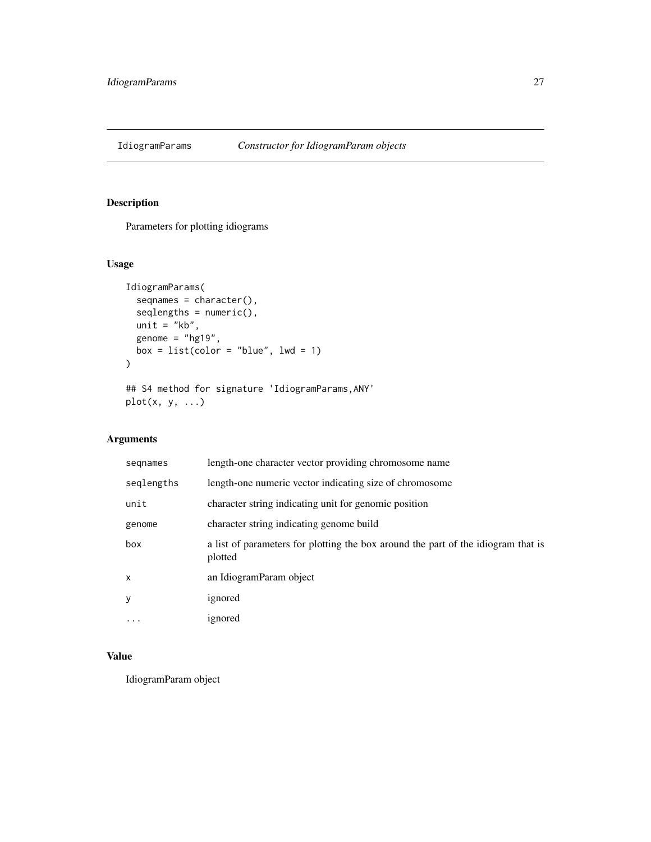<span id="page-26-0"></span>

Parameters for plotting idiograms

# Usage

```
IdiogramParams(
  seqnames = character(),
  seqlengths = numeric(),
 unit = "kb",genome = "hg19",
 box = list(color = "blue", lw = 1)\mathcal{L}## S4 method for signature 'IdiogramParams,ANY'
plot(x, y, ...)
```
# Arguments

| segnames     | length-one character vector providing chromosome name                                        |  |
|--------------|----------------------------------------------------------------------------------------------|--|
| seglengths   | length-one numeric vector indicating size of chromosome                                      |  |
| unit         | character string indicating unit for genomic position                                        |  |
| genome       | character string indicating genome build                                                     |  |
| box          | a list of parameters for plotting the box around the part of the idiogram that is<br>plotted |  |
| $\mathsf{x}$ | an IdiogramParam object                                                                      |  |
| y            | ignored                                                                                      |  |
| $\cdots$     | ignored                                                                                      |  |

# Value

IdiogramParam object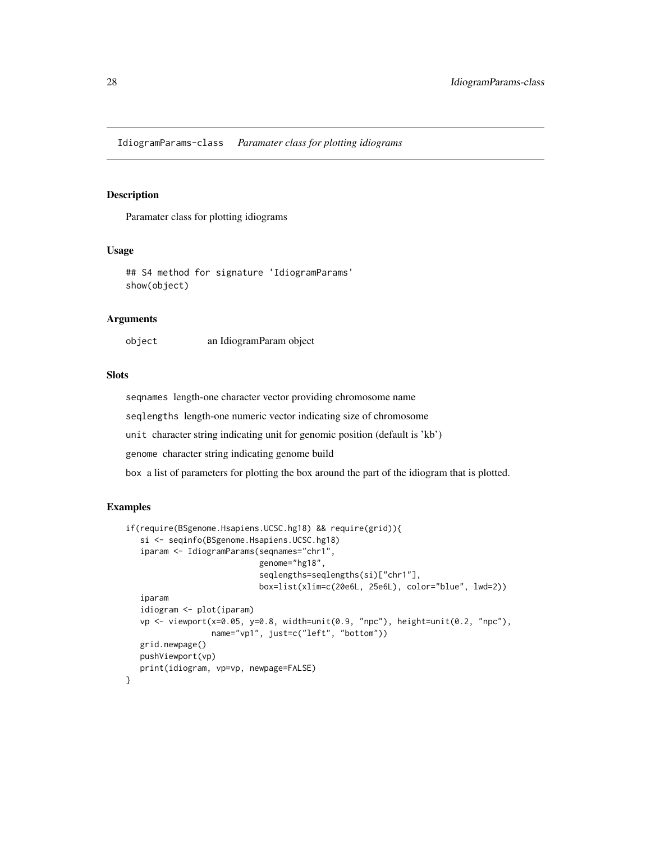<span id="page-27-0"></span>IdiogramParams-class *Paramater class for plotting idiograms*

#### Description

Paramater class for plotting idiograms

# Usage

```
## S4 method for signature 'IdiogramParams'
show(object)
```
#### Arguments

object an IdiogramParam object

#### Slots

seqnames length-one character vector providing chromosome name

seqlengths length-one numeric vector indicating size of chromosome

unit character string indicating unit for genomic position (default is 'kb')

genome character string indicating genome build

box a list of parameters for plotting the box around the part of the idiogram that is plotted.

#### Examples

```
if(require(BSgenome.Hsapiens.UCSC.hg18) && require(grid)){
  si <- seqinfo(BSgenome.Hsapiens.UCSC.hg18)
   iparam <- IdiogramParams(seqnames="chr1",
                            genome="hg18",
                            seqlengths=seqlengths(si)["chr1"],
                            box=list(xlim=c(20e6L, 25e6L), color="blue", lwd=2))
   iparam
   idiogram <- plot(iparam)
  vp <- viewport(x=0.05, y=0.8, width=unit(0.9, "npc"), height=unit(0.2, "npc"),
                  name="vp1", just=c("left", "bottom"))
  grid.newpage()
  pushViewport(vp)
  print(idiogram, vp=vp, newpage=FALSE)
}
```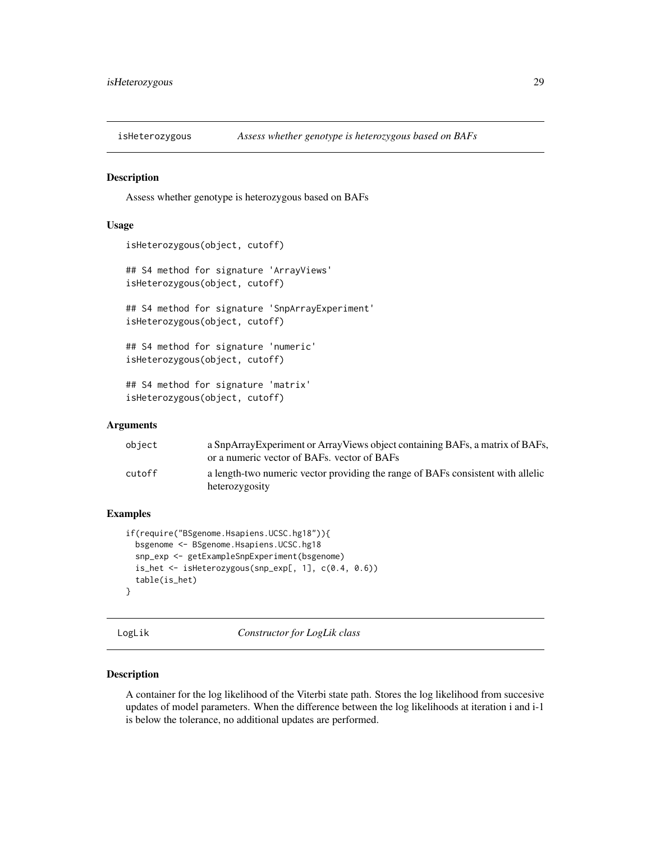<span id="page-28-0"></span>

Assess whether genotype is heterozygous based on BAFs

#### Usage

```
isHeterozygous(object, cutoff)
## S4 method for signature 'ArrayViews'
isHeterozygous(object, cutoff)
## S4 method for signature 'SnpArrayExperiment'
isHeterozygous(object, cutoff)
## S4 method for signature 'numeric'
isHeterozygous(object, cutoff)
## S4 method for signature 'matrix'
```
#### isHeterozygous(object, cutoff)

#### Arguments

| object | a SnpArray Experiment or Array Views object containing BAFs, a matrix of BAFs,<br>or a numeric vector of BAFs, vector of BAFs |
|--------|-------------------------------------------------------------------------------------------------------------------------------|
| cutoff | a length-two numeric vector providing the range of BAFs consistent with allelic<br>heterozygosity                             |

# Examples

```
if(require("BSgenome.Hsapiens.UCSC.hg18")){
 bsgenome <- BSgenome.Hsapiens.UCSC.hg18
 snp_exp <- getExampleSnpExperiment(bsgenome)
 is_het <- isHeterozygous(snp_exp[, 1], c(0.4, 0.6))
 table(is_het)
}
```
<span id="page-28-1"></span>LogLik *Constructor for LogLik class*

#### Description

A container for the log likelihood of the Viterbi state path. Stores the log likelihood from succesive updates of model parameters. When the difference between the log likelihoods at iteration i and i-1 is below the tolerance, no additional updates are performed.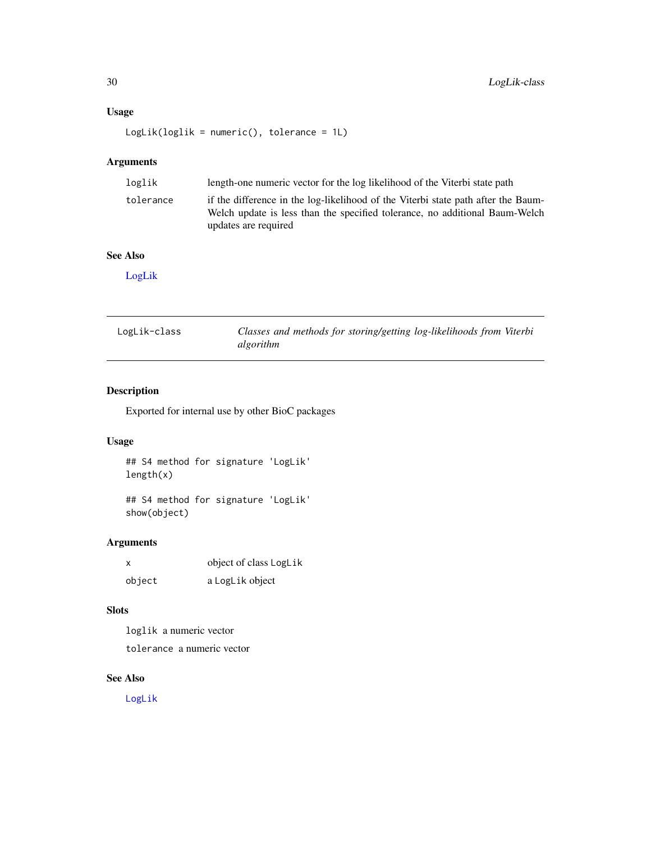# <span id="page-29-0"></span>Usage

LogLik(loglik = numeric(), tolerance = 1L)

# Arguments

| loglik    | length-one numeric vector for the log likelihood of the Viterbi state path                                                                                                               |  |
|-----------|------------------------------------------------------------------------------------------------------------------------------------------------------------------------------------------|--|
| tolerance | if the difference in the log-likelihood of the Viterbi state path after the Baum-<br>Welch update is less than the specified tolerance, no additional Baum-Welch<br>updates are required |  |

# See Also

[LogLik](#page-29-1)

<span id="page-29-1"></span>

| LogLik-class | Classes and methods for storing/getting log-likelihoods from Viterbi |
|--------------|----------------------------------------------------------------------|
|              | algorithm                                                            |

# Description

Exported for internal use by other BioC packages

# Usage

## S4 method for signature 'LogLik' length(x)

## S4 method for signature 'LogLik' show(object)

# Arguments

| x      | object of class LogLik |
|--------|------------------------|
| object | a LogLik object        |

# Slots

loglik a numeric vector tolerance a numeric vector

# See Also

[LogLik](#page-28-1)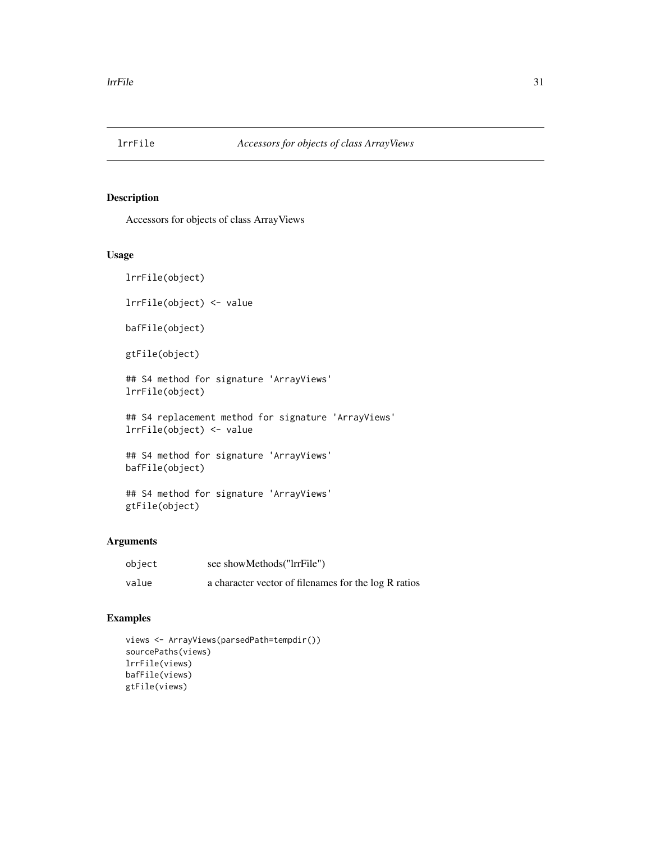<span id="page-30-0"></span>

Accessors for objects of class ArrayViews

#### Usage

```
lrrFile(object)
```

```
lrrFile(object) <- value
```

```
bafFile(object)
```

```
gtFile(object)
```

```
## S4 method for signature 'ArrayViews'
lrrFile(object)
```

```
## S4 replacement method for signature 'ArrayViews'
lrrFile(object) <- value
```

```
## S4 method for signature 'ArrayViews'
bafFile(object)
```

```
## S4 method for signature 'ArrayViews'
gtFile(object)
```
#### Arguments

| object | see showMethods("lrrFile")                           |
|--------|------------------------------------------------------|
| value  | a character vector of filenames for the log R ratios |

# Examples

```
views <- ArrayViews(parsedPath=tempdir())
sourcePaths(views)
lrrFile(views)
bafFile(views)
gtFile(views)
```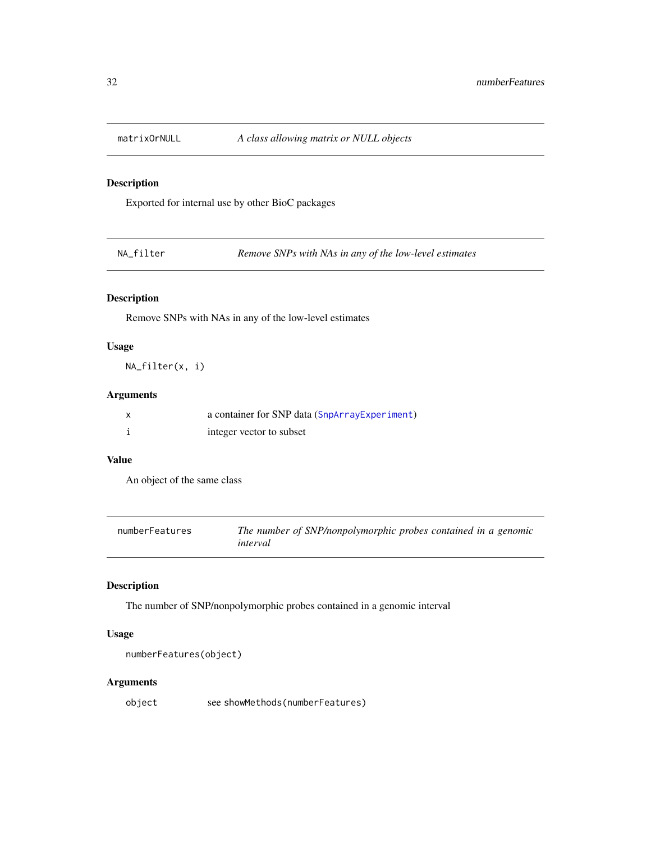<span id="page-31-0"></span>

Exported for internal use by other BioC packages

NA\_filter *Remove SNPs with NAs in any of the low-level estimates*

# Description

Remove SNPs with NAs in any of the low-level estimates

# Usage

NA\_filter(x, i)

# Arguments

| a container for SNP data (SnpArrayExperiment) |
|-----------------------------------------------|
| integer vector to subset                      |

#### Value

An object of the same class

| numberFeatures | The number of SNP/nonpolymorphic probes contained in a genomic |
|----------------|----------------------------------------------------------------|
|                | interval                                                       |

# Description

The number of SNP/nonpolymorphic probes contained in a genomic interval

# Usage

```
numberFeatures(object)
```
# Arguments

object see showMethods(numberFeatures)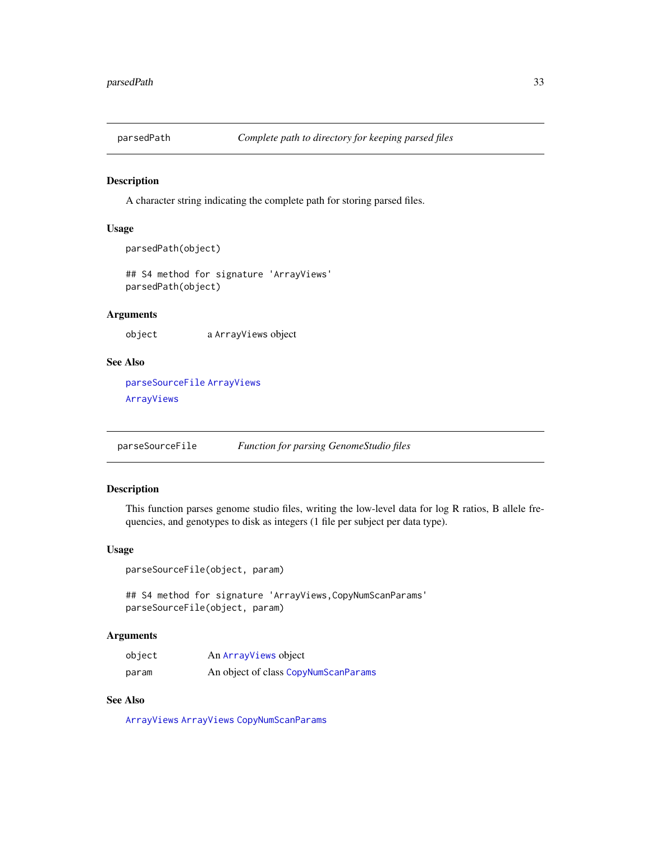<span id="page-32-0"></span>

A character string indicating the complete path for storing parsed files.

## Usage

```
parsedPath(object)
```
## S4 method for signature 'ArrayViews' parsedPath(object)

# Arguments

object a ArrayViews object

# See Also

[parseSourceFile](#page-32-1) [ArrayViews](#page-3-1) [ArrayViews](#page-3-1)

<span id="page-32-1"></span>parseSourceFile *Function for parsing GenomeStudio files*

# Description

This function parses genome studio files, writing the low-level data for log R ratios, B allele frequencies, and genotypes to disk as integers (1 file per subject per data type).

### Usage

parseSourceFile(object, param)

## S4 method for signature 'ArrayViews,CopyNumScanParams' parseSourceFile(object, param)

#### Arguments

| object | An ArrayViews object                 |
|--------|--------------------------------------|
| param  | An object of class CopyNumScanParams |

# See Also

[ArrayViews](#page-3-2) [ArrayViews](#page-3-2) [CopyNumScanParams](#page-11-1)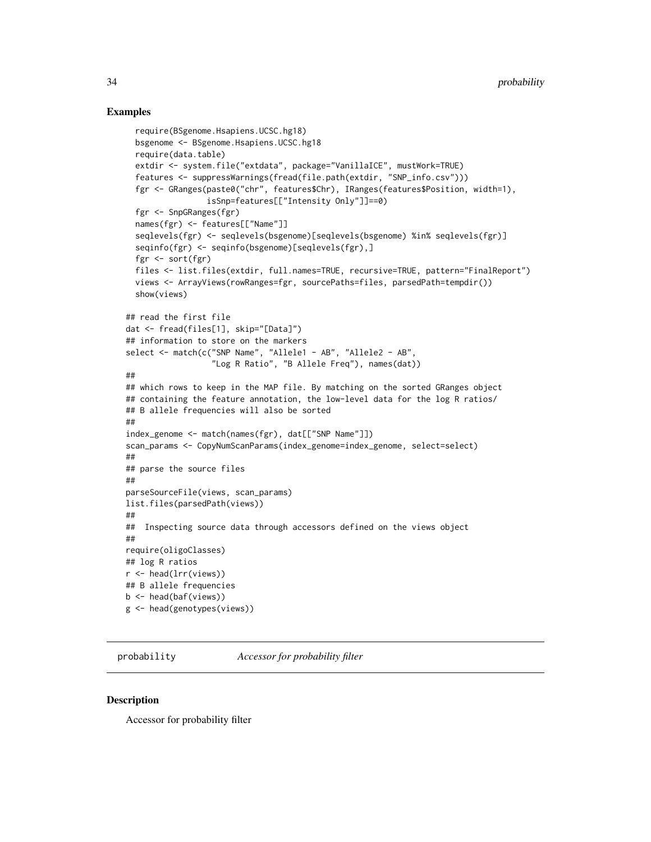#### <span id="page-33-0"></span>Examples

```
require(BSgenome.Hsapiens.UCSC.hg18)
  bsgenome <- BSgenome.Hsapiens.UCSC.hg18
  require(data.table)
  extdir <- system.file("extdata", package="VanillaICE", mustWork=TRUE)
  features <- suppressWarnings(fread(file.path(extdir, "SNP_info.csv")))
  fgr <- GRanges(paste0("chr", features$Chr), IRanges(features$Position, width=1),
                 isSnp=features[["Intensity Only"]]==0)
  fgr <- SnpGRanges(fgr)
  names(fgr) <- features[["Name"]]
  seqlevels(fgr) <- seqlevels(bsgenome)[seqlevels(bsgenome) %in% seqlevels(fgr)]
  seqinfo(fgr) <- seqinfo(bsgenome)[seqlevels(fgr),]
  fgr <- sort(fgr)
  files <- list.files(extdir, full.names=TRUE, recursive=TRUE, pattern="FinalReport")
  views <- ArrayViews(rowRanges=fgr, sourcePaths=files, parsedPath=tempdir())
  show(views)
## read the first file
dat <- fread(files[1], skip="[Data]")
## information to store on the markers
select <- match(c("SNP Name", "Allele1 - AB", "Allele2 - AB",
                  "Log R Ratio", "B Allele Freq"), names(dat))
##
## which rows to keep in the MAP file. By matching on the sorted GRanges object
## containing the feature annotation, the low-level data for the log R ratios/
## B allele frequencies will also be sorted
##
index_genome <- match(names(fgr), dat[["SNP Name"]])
scan_params <- CopyNumScanParams(index_genome=index_genome, select=select)
##
## parse the source files
##
parseSourceFile(views, scan_params)
list.files(parsedPath(views))
##
## Inspecting source data through accessors defined on the views object
##
require(oligoClasses)
## log R ratios
r <- head(lrr(views))
## B allele frequencies
b <- head(baf(views))
g <- head(genotypes(views))
```
probability *Accessor for probability filter*

#### **Description**

Accessor for probability filter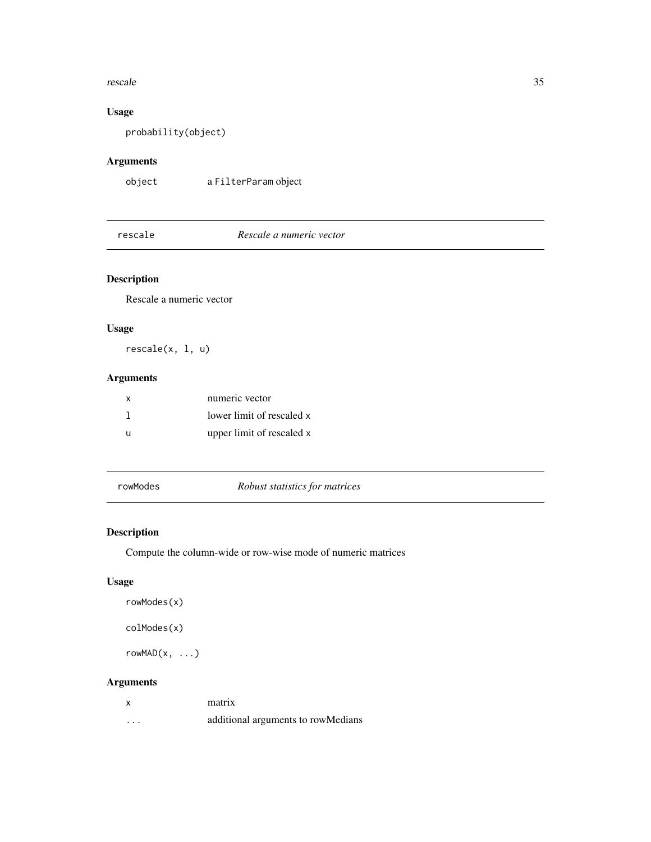#### <span id="page-34-0"></span>rescale 35

# Usage

probability(object)

# Arguments

object a FilterParam object

# rescale *Rescale a numeric vector*

# Description

Rescale a numeric vector

# Usage

rescale(x, l, u)

# Arguments

| X | numeric vector            |
|---|---------------------------|
|   | lower limit of rescaled x |
|   | upper limit of rescaled x |

rowModes *Robust statistics for matrices*

# Description

Compute the column-wide or row-wise mode of numeric matrices

# Usage

```
rowModes(x)
```
colModes(x)

rowMAD(x, ...)

# Arguments

| x        | matrix                             |
|----------|------------------------------------|
| $\cdots$ | additional arguments to rowMedians |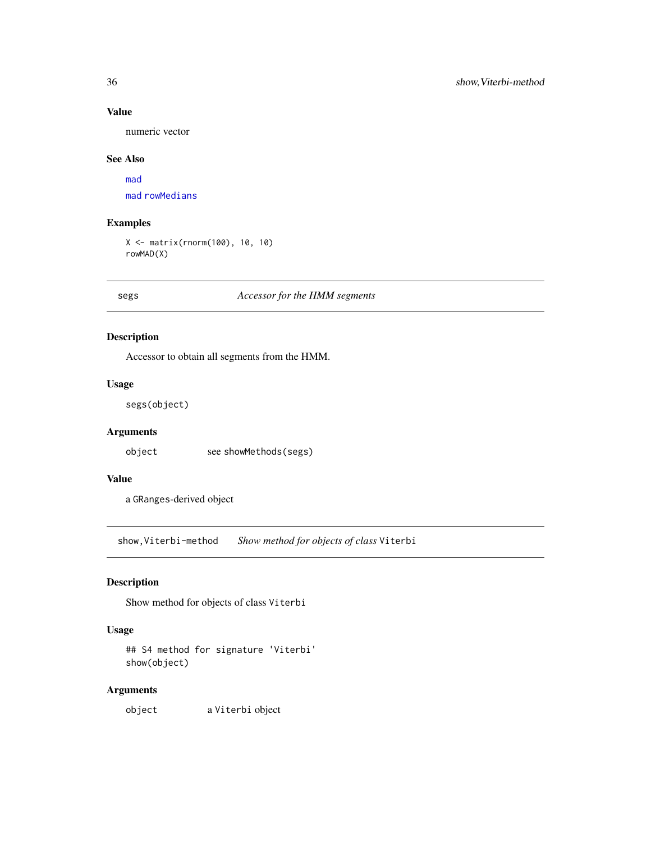# Value

numeric vector

## See Also

[mad](#page-0-0) [mad](#page-0-0) [rowMedians](#page-0-0)

# Examples

X <- matrix(rnorm(100), 10, 10) rowMAD(X)

segs *Accessor for the HMM segments*

# Description

Accessor to obtain all segments from the HMM.

#### Usage

segs(object)

# Arguments

object see showMethods(segs)

# Value

a GRanges-derived object

show,Viterbi-method *Show method for objects of class* Viterbi

# Description

Show method for objects of class Viterbi

# Usage

## S4 method for signature 'Viterbi' show(object)

# Arguments

object a Viterbi object

<span id="page-35-0"></span>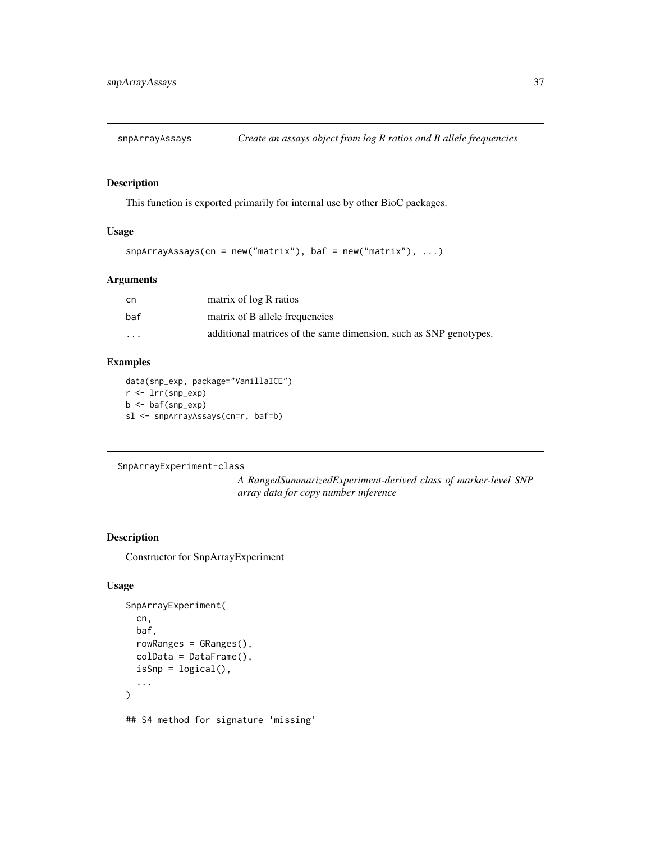<span id="page-36-0"></span>

This function is exported primarily for internal use by other BioC packages.

# Usage

```
snpArrayAssays(en = new("matrix"), baf = new("matrix"), ...)
```
# Arguments

| cn                      | matrix of log R ratios                                            |
|-------------------------|-------------------------------------------------------------------|
| baf                     | matrix of B allele frequencies                                    |
| $\cdot$ $\cdot$ $\cdot$ | additional matrices of the same dimension, such as SNP genotypes. |

# Examples

data(snp\_exp, package="VanillaICE") r <- lrr(snp\_exp) b <- baf(snp\_exp) sl <- snpArrayAssays(cn=r, baf=b)

SnpArrayExperiment-class

*A RangedSummarizedExperiment-derived class of marker-level SNP array data for copy number inference*

# <span id="page-36-1"></span>Description

Constructor for SnpArrayExperiment

#### Usage

```
SnpArrayExperiment(
  cn,
  baf,
  rowRanges = GRanges(),
 colData = DataFrame(),
  isSnp = logical(),
  ...
)
## S4 method for signature 'missing'
```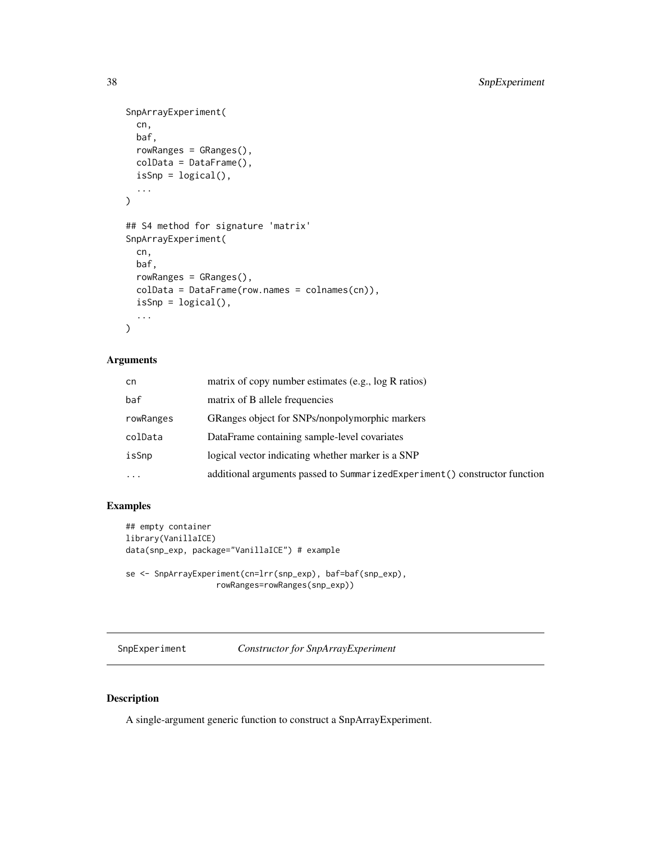```
SnpArrayExperiment(
  cn,
 baf,
 rowRanges = GRanges(),
  colData = DataFrame(),
  isSnp = logical(),
  ...
\mathcal{L}## S4 method for signature 'matrix'
SnpArrayExperiment(
  cn,
 baf,
  rowRanges = GRanges(),
 colData = DataFrame(row.names = colnames(cn)),
  isSnp = logical(),
  ...
\mathcal{L}
```
# Arguments

| cn        | matrix of copy number estimates (e.g., log R ratios)                        |
|-----------|-----------------------------------------------------------------------------|
| baf       | matrix of B allele frequencies                                              |
| rowRanges | GRanges object for SNPs/nonpolymorphic markers                              |
| colData   | DataFrame containing sample-level covariates                                |
| isSnp     | logical vector indicating whether marker is a SNP                           |
| $\ddots$  | additional arguments passed to SummarizedExperiment () constructor function |

# Examples

```
## empty container
library(VanillaICE)
data(snp_exp, package="VanillaICE") # example
se <- SnpArrayExperiment(cn=lrr(snp_exp), baf=baf(snp_exp),
                  rowRanges=rowRanges(snp_exp))
```
SnpExperiment *Constructor for SnpArrayExperiment*

# Description

A single-argument generic function to construct a SnpArrayExperiment.

<span id="page-37-0"></span>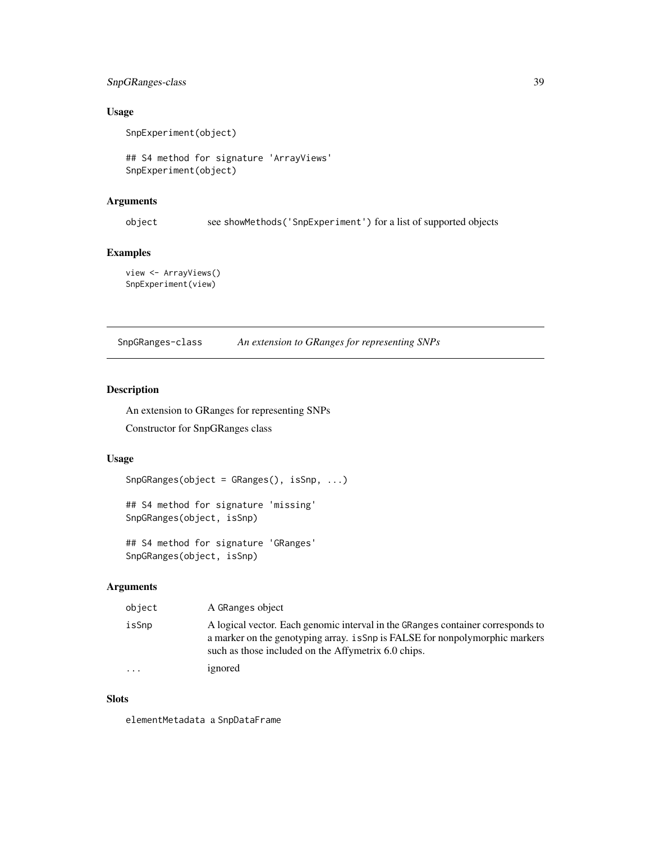# <span id="page-38-0"></span>SnpGRanges-class 39

# Usage

SnpExperiment(object)

## S4 method for signature 'ArrayViews' SnpExperiment(object)

#### Arguments

object see showMethods('SnpExperiment') for a list of supported objects

# Examples

view <- ArrayViews() SnpExperiment(view)

SnpGRanges-class *An extension to GRanges for representing SNPs*

# Description

An extension to GRanges for representing SNPs

Constructor for SnpGRanges class

# Usage

SnpGRanges(object = GRanges(), isSnp, ...)

## S4 method for signature 'missing' SnpGRanges(object, isSnp)

## S4 method for signature 'GRanges' SnpGRanges(object, isSnp)

# Arguments

| object  | A GRanges object                                                                                                                                                                                                       |
|---------|------------------------------------------------------------------------------------------------------------------------------------------------------------------------------------------------------------------------|
| isSnp   | A logical vector. Each genomic interval in the GRanges container corresponds to<br>a marker on the genotyping array. is Snp is FALSE for nonpolymorphic markers<br>such as those included on the Affymetrix 6.0 chips. |
| $\cdot$ | ignored                                                                                                                                                                                                                |

#### Slots

elementMetadata a SnpDataFrame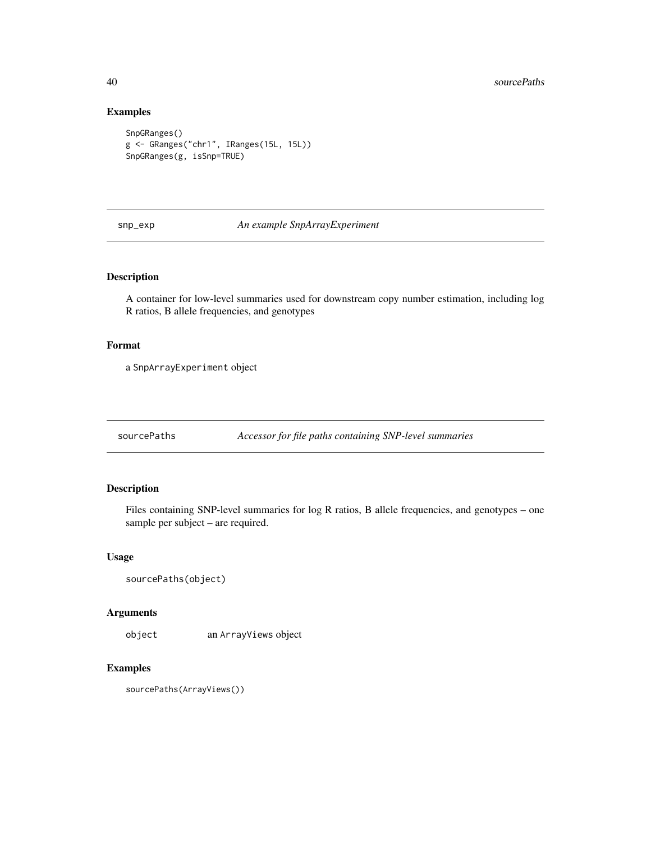# Examples

```
SnpGRanges()
g <- GRanges("chr1", IRanges(15L, 15L))
SnpGRanges(g, isSnp=TRUE)
```
#### snp\_exp *An example SnpArrayExperiment*

#### Description

A container for low-level summaries used for downstream copy number estimation, including log R ratios, B allele frequencies, and genotypes

# Format

a SnpArrayExperiment object

sourcePaths *Accessor for file paths containing SNP-level summaries*

# Description

Files containing SNP-level summaries for log R ratios, B allele frequencies, and genotypes – one sample per subject – are required.

#### Usage

```
sourcePaths(object)
```
# Arguments

object an ArrayViews object

### Examples

sourcePaths(ArrayViews())

<span id="page-39-0"></span>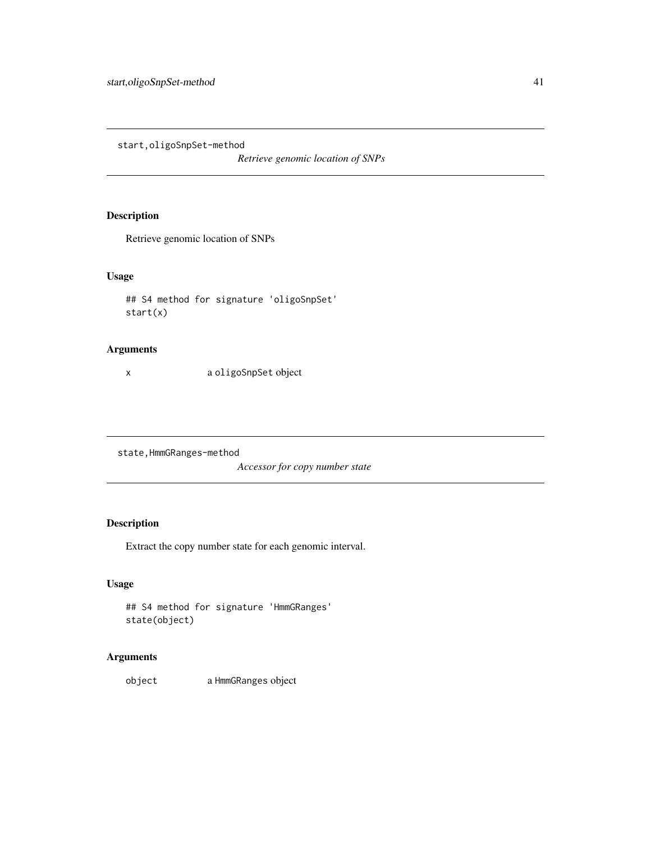<span id="page-40-0"></span>start,oligoSnpSet-method

*Retrieve genomic location of SNPs*

# Description

Retrieve genomic location of SNPs

# Usage

```
## S4 method for signature 'oligoSnpSet'
start(x)
```
#### Arguments

x a oligoSnpSet object

state,HmmGRanges-method

*Accessor for copy number state*

# Description

Extract the copy number state for each genomic interval.

# Usage

```
## S4 method for signature 'HmmGRanges'
state(object)
```
# Arguments

object a HmmGRanges object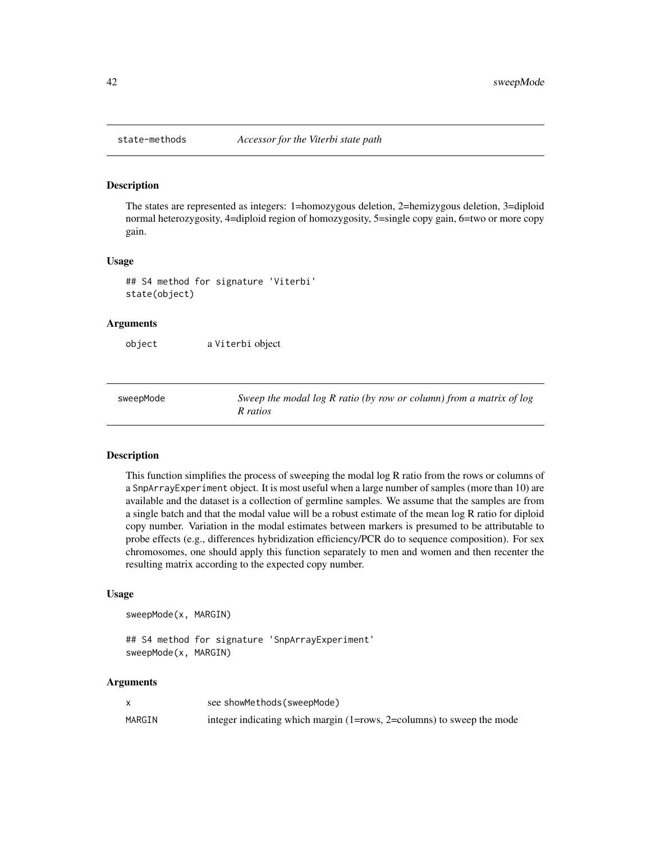<span id="page-41-0"></span>

The states are represented as integers: 1=homozygous deletion, 2=hemizygous deletion, 3=diploid normal heterozygosity, 4=diploid region of homozygosity, 5=single copy gain, 6=two or more copy gain.

#### Usage

```
## S4 method for signature 'Viterbi'
state(object)
```
#### Arguments

object a Viterbi object

sweepMode *Sweep the modal log R ratio (by row or column) from a matrix of log R ratios*

#### **Description**

This function simplifies the process of sweeping the modal log R ratio from the rows or columns of a SnpArrayExperiment object. It is most useful when a large number of samples (more than 10) are available and the dataset is a collection of germline samples. We assume that the samples are from a single batch and that the modal value will be a robust estimate of the mean log R ratio for diploid copy number. Variation in the modal estimates between markers is presumed to be attributable to probe effects (e.g., differences hybridization efficiency/PCR do to sequence composition). For sex chromosomes, one should apply this function separately to men and women and then recenter the resulting matrix according to the expected copy number.

#### Usage

sweepMode(x, MARGIN)

## S4 method for signature 'SnpArrayExperiment' sweepMode(x, MARGIN)

#### Arguments

|        | see showMethods (sweepMode)                                           |
|--------|-----------------------------------------------------------------------|
| MARGIN | integer indicating which margin (1=rows, 2=columns) to sweep the mode |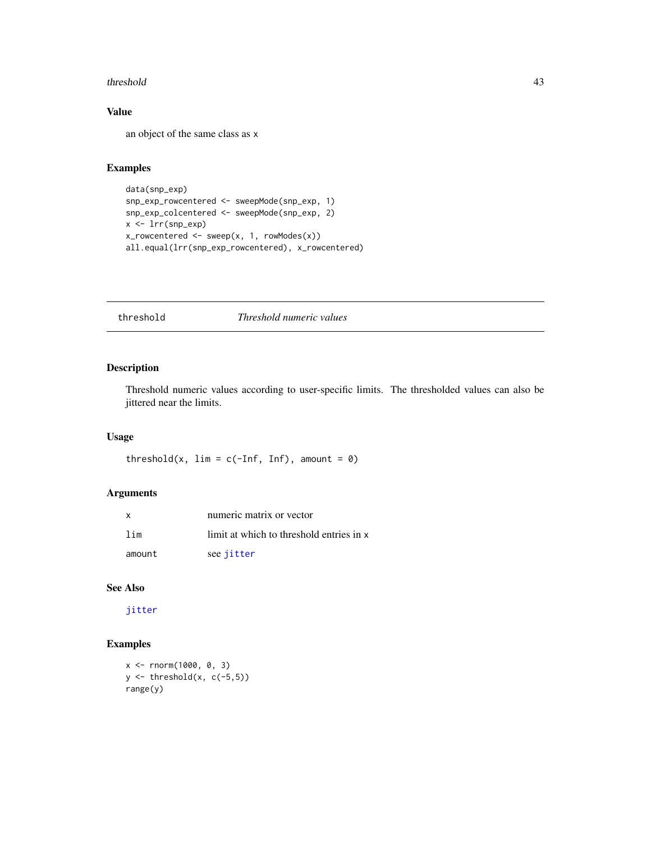#### <span id="page-42-0"></span>threshold 43

# Value

an object of the same class as x

#### Examples

```
data(snp_exp)
snp_exp_rowcentered <- sweepMode(snp_exp, 1)
snp_exp_colcentered <- sweepMode(snp_exp, 2)
x <- lrr(snp_exp)
x_rowcentered <- sweep(x, 1, rowModes(x))
all.equal(lrr(snp_exp_rowcentered), x_rowcentered)
```
# threshold *Threshold numeric values*

# Description

Threshold numeric values according to user-specific limits. The thresholded values can also be jittered near the limits.

#### Usage

threshold(x,  $\lim = c(-\inf, \inf)$ , amount = 0)

#### Arguments

| $\mathbf{x}$ | numeric matrix or vector                 |
|--------------|------------------------------------------|
| lim          | limit at which to threshold entries in x |
| amount       | see jitter                               |

# See Also

[jitter](#page-0-0)

# Examples

```
x <- rnorm(1000, 0, 3)
y \leftarrow threshold(x, c(-5,5))range(y)
```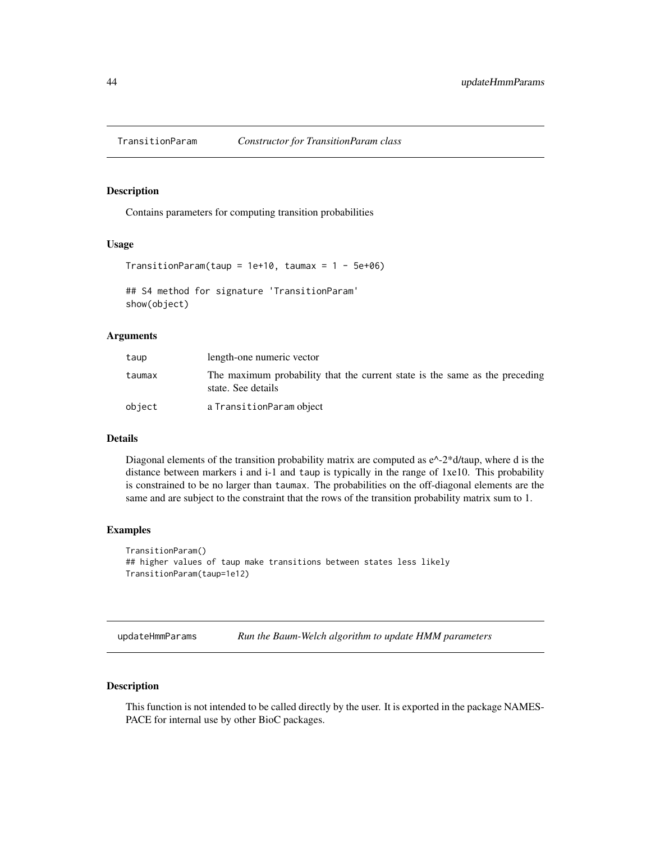<span id="page-43-1"></span><span id="page-43-0"></span>

Contains parameters for computing transition probabilities

# Usage

```
TransitionParam(taup = 1e+10, taumax = 1 - 5e+06)## S4 method for signature 'TransitionParam'
show(object)
```
#### **Arguments**

| taup   | length-one numeric vector                                                                         |
|--------|---------------------------------------------------------------------------------------------------|
| taumax | The maximum probability that the current state is the same as the preceding<br>state. See details |
| object | a TransitionParam object                                                                          |

#### Details

Diagonal elements of the transition probability matrix are computed as  $e^{\Lambda}$ -2\*d/taup, where d is the distance between markers i and i-1 and taup is typically in the range of 1xe10. This probability is constrained to be no larger than taumax. The probabilities on the off-diagonal elements are the same and are subject to the constraint that the rows of the transition probability matrix sum to 1.

#### Examples

```
TransitionParam()
## higher values of taup make transitions between states less likely
TransitionParam(taup=1e12)
```
updateHmmParams *Run the Baum-Welch algorithm to update HMM parameters*

#### Description

This function is not intended to be called directly by the user. It is exported in the package NAMES-PACE for internal use by other BioC packages.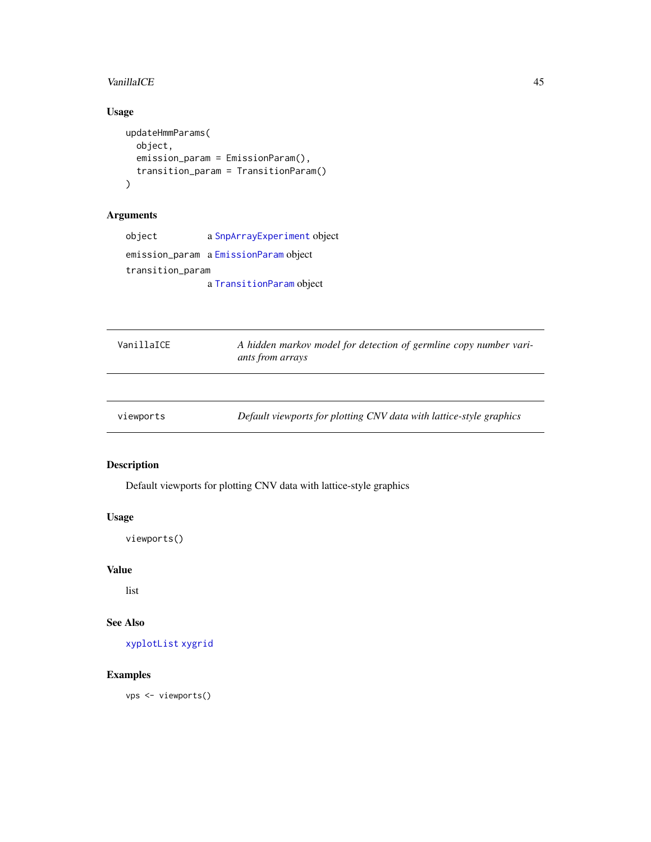#### <span id="page-44-0"></span>VanillaICE 45

# Usage

```
updateHmmParams(
  object,
  emission_param = EmissionParam(),
  transition_param = TransitionParam()
\mathcal{L}
```
# Arguments

| object           | a SnpArrayExperiment object           |
|------------------|---------------------------------------|
|                  | emission_param a EmissionParam object |
| transition_param |                                       |
|                  | a TransitionParam object              |

| VanillaICF | A hidden markov model for detection of germline copy number vari-<br>ants from arrays |
|------------|---------------------------------------------------------------------------------------|
|            |                                                                                       |
| viewports  | Default viewports for plotting CNV data with lattice-style graphics                   |

# <span id="page-44-1"></span>Description

Default viewports for plotting CNV data with lattice-style graphics

# Usage

viewports()

# Value

list

# See Also

[xyplotList](#page-45-1) [xygrid](#page-45-2)

# Examples

vps <- viewports()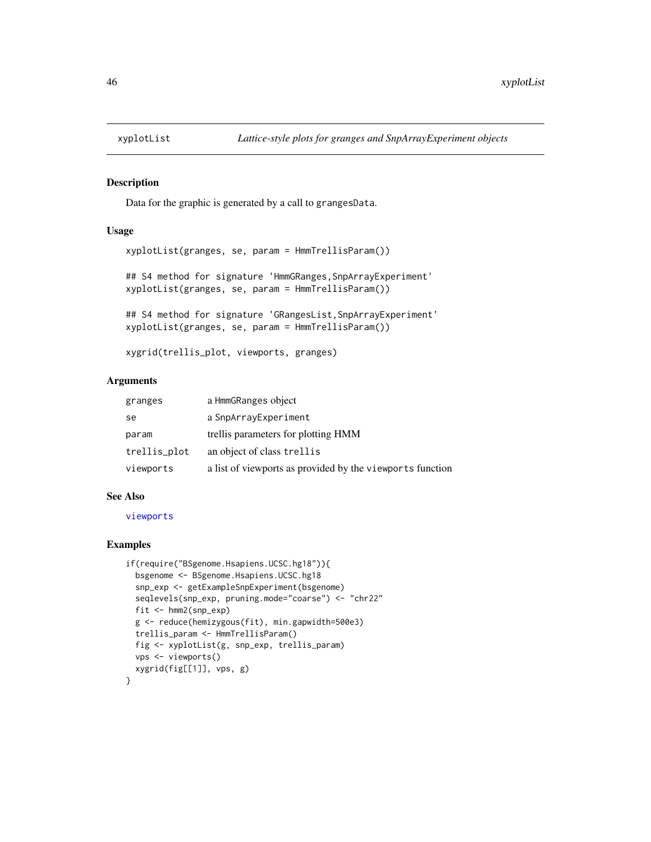<span id="page-45-2"></span><span id="page-45-1"></span><span id="page-45-0"></span>

Data for the graphic is generated by a call to grangesData.

#### Usage

```
xyplotList(granges, se, param = HmmTrellisParam())
```
## S4 method for signature 'HmmGRanges, SnpArrayExperiment' xyplotList(granges, se, param = HmmTrellisParam())

## S4 method for signature 'GRangesList, SnpArrayExperiment' xyplotList(granges, se, param = HmmTrellisParam())

xygrid(trellis\_plot, viewports, granges)

#### Arguments

| granges      | a HmmGRanges object                                       |
|--------------|-----------------------------------------------------------|
| se           | a SnpArrayExperiment                                      |
| param        | trellis parameters for plotting HMM                       |
| trellis_plot | an object of class trellis                                |
| viewports    | a list of viewports as provided by the viewports function |

#### See Also

[viewports](#page-44-1)

# Examples

```
if(require("BSgenome.Hsapiens.UCSC.hg18")){
 bsgenome <- BSgenome.Hsapiens.UCSC.hg18
 snp_exp <- getExampleSnpExperiment(bsgenome)
 seqlevels(snp_exp, pruning.mode="coarse") <- "chr22"
 fit <- hmm2(snp_exp)
 g <- reduce(hemizygous(fit), min.gapwidth=500e3)
 trellis_param <- HmmTrellisParam()
 fig <- xyplotList(g, snp_exp, trellis_param)
 vps <- viewports()
 xygrid(fig[[1]], vps, g)
}
```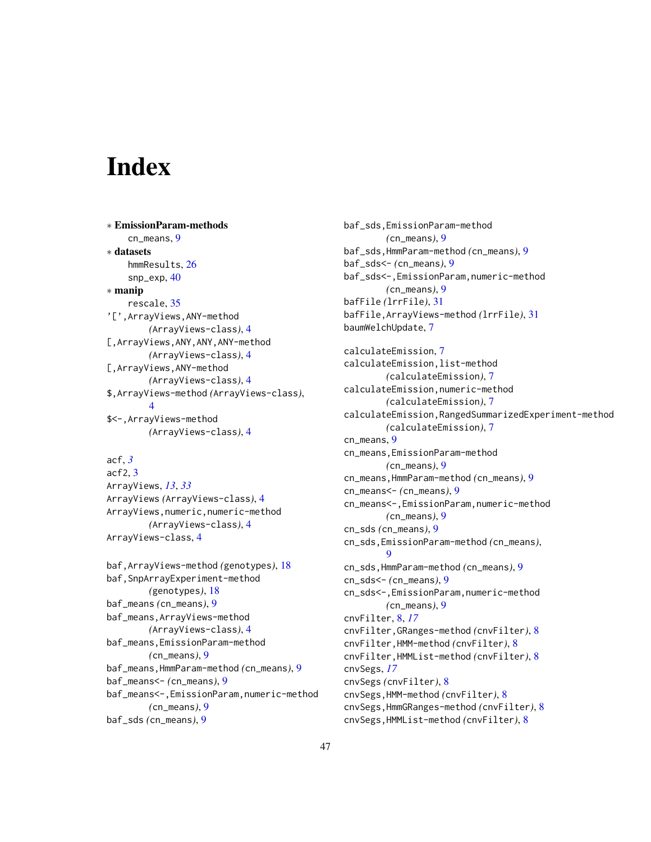# <span id="page-46-0"></span>**Index**

∗ EmissionParam-methods cn\_means, [9](#page-8-0) ∗ datasets hmmResults, [26](#page-25-0) snp\_exp, [40](#page-39-0) ∗ manip rescale, [35](#page-34-0) '[',ArrayViews,ANY-method *(*ArrayViews-class*)*, [4](#page-3-0) [,ArrayViews,ANY,ANY,ANY-method *(*ArrayViews-class*)*, [4](#page-3-0) [,ArrayViews,ANY-method *(*ArrayViews-class*)*, [4](#page-3-0) \$,ArrayViews-method *(*ArrayViews-class*)*, [4](#page-3-0) \$<-,ArrayViews-method *(*ArrayViews-class*)*, [4](#page-3-0)

```
acf, 3
acf2, 3
ArrayViews, 13, 33
ArrayViews (ArrayViews-class), 4
ArrayViews,numeric,numeric-method
        (ArrayViews-class), 4
ArrayViews-class, 4
```

```
baf,ArrayViews-method (genotypes), 18
baf,SnpArrayExperiment-method
        (genotypes), 18
baf_means (cn_means), 9
baf_means,ArrayViews-method
        (ArrayViews-class), 4
baf_means,EmissionParam-method
        (cn_means), 9
baf_means,HmmParam-method (cn_means), 9
baf_means<- (cn_means), 9
baf_means<-,EmissionParam,numeric-method
        (cn_means), 9
baf_sds (cn_means), 9
```
baf\_sds,EmissionParam-method *(*cn\_means*)*, [9](#page-8-0) baf\_sds,HmmParam-method *(*cn\_means*)*, [9](#page-8-0) baf\_sds<- *(*cn\_means*)*, [9](#page-8-0) baf\_sds<-,EmissionParam,numeric-method *(*cn\_means*)*, [9](#page-8-0) bafFile *(*lrrFile*)*, [31](#page-30-0) bafFile,ArrayViews-method *(*lrrFile*)*, [31](#page-30-0) baumWelchUpdate, [7](#page-6-0) calculateEmission, [7](#page-6-0) calculateEmission,list-method *(*calculateEmission*)*, [7](#page-6-0) calculateEmission,numeric-method *(*calculateEmission*)*, [7](#page-6-0) calculateEmission,RangedSummarizedExperiment-method *(*calculateEmission*)*, [7](#page-6-0) cn\_means, [9](#page-8-0) cn\_means,EmissionParam-method *(*cn\_means*)*, [9](#page-8-0) cn\_means,HmmParam-method *(*cn\_means*)*, [9](#page-8-0) cn\_means<- *(*cn\_means*)*, [9](#page-8-0) cn\_means<-,EmissionParam,numeric-method *(*cn\_means*)*, [9](#page-8-0) cn\_sds *(*cn\_means*)*, [9](#page-8-0) cn\_sds,EmissionParam-method *(*cn\_means*)*,  $\mathbf Q$ cn\_sds,HmmParam-method *(*cn\_means*)*, [9](#page-8-0) cn\_sds<- *(*cn\_means*)*, [9](#page-8-0) cn\_sds<-,EmissionParam,numeric-method *(*cn\_means*)*, [9](#page-8-0) cnvFilter, [8,](#page-7-0) *[17](#page-16-0)* cnvFilter,GRanges-method *(*cnvFilter*)*, [8](#page-7-0) cnvFilter,HMM-method *(*cnvFilter*)*, [8](#page-7-0) cnvFilter,HMMList-method *(*cnvFilter*)*, [8](#page-7-0) cnvSegs, *[17](#page-16-0)* cnvSegs *(*cnvFilter*)*, [8](#page-7-0) cnvSegs,HMM-method *(*cnvFilter*)*, [8](#page-7-0) cnvSegs,HmmGRanges-method *(*cnvFilter*)*, [8](#page-7-0) cnvSegs,HMMList-method *(*cnvFilter*)*, [8](#page-7-0)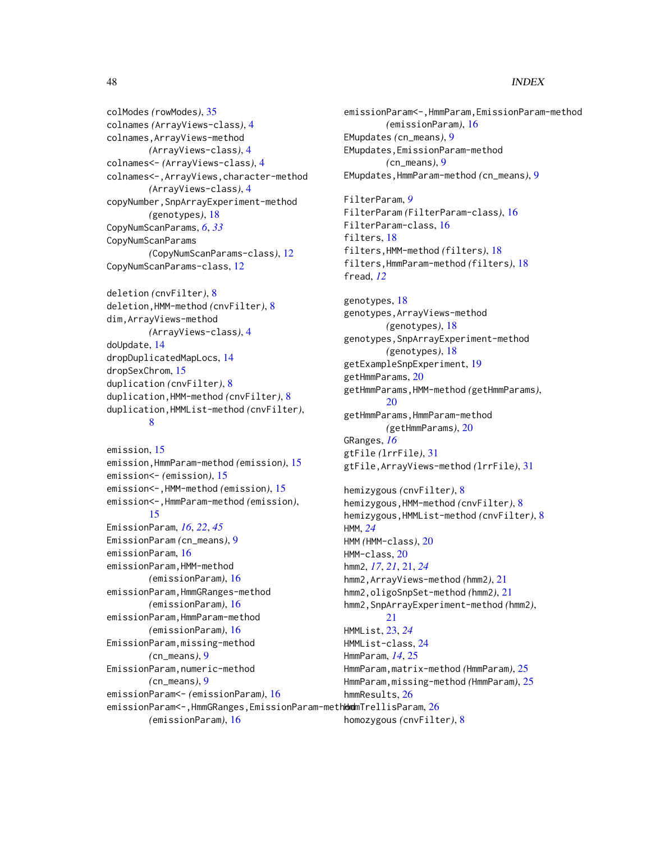#### 48 INDEX

colModes *(*rowModes*)*, [35](#page-34-0) colnames *(*ArrayViews-class*)*, [4](#page-3-0) colnames,ArrayViews-method *(*ArrayViews-class*)*, [4](#page-3-0) colnames<- *(*ArrayViews-class*)*, [4](#page-3-0) colnames<-,ArrayViews,character-method *(*ArrayViews-class*)*, [4](#page-3-0) copyNumber,SnpArrayExperiment-method *(*genotypes*)*, [18](#page-17-0) CopyNumScanParams, *[6](#page-5-0)*, *[33](#page-32-0)* CopyNumScanParams *(*CopyNumScanParams-class*)*, [12](#page-11-0) CopyNumScanParams-class, [12](#page-11-0)

deletion *(*cnvFilter*)*, [8](#page-7-0) deletion,HMM-method *(*cnvFilter*)*, [8](#page-7-0) dim,ArrayViews-method *(*ArrayViews-class*)*, [4](#page-3-0) doUpdate, [14](#page-13-0) dropDuplicatedMapLocs, [14](#page-13-0) dropSexChrom, [15](#page-14-0) duplication *(*cnvFilter*)*, [8](#page-7-0) duplication,HMM-method *(*cnvFilter*)*, [8](#page-7-0) duplication,HMMList-method *(*cnvFilter*)*, [8](#page-7-0)

```
emission, 15
emission,HmmParam-method (emission), 15
emission<- (emission), 15
emission<-,HMM-method (emission), 15
emission<-,HmmParam-method (emission),
        15
EmissionParam, 16, 22, 45
EmissionParam (cn_means), 9
emissionParam, 16
emissionParam,HMM-method
        (emissionParam), 16
emissionParam,HmmGRanges-method
        (emissionParam), 16
emissionParam,HmmParam-method
        (emissionParam), 16
EmissionParam,missing-method
        (cn_means), 9
EmissionParam,numeric-method
        (cn_means), 9
emissionParam<- (emissionParam), 16
emissionParam<-,HmmGRanges,EmissionParam-meth\epsilondmTrellisParam,26
```
emissionParam<-,HmmParam,EmissionParam-method *(*emissionParam*)*, [16](#page-15-0) EMupdates *(*cn\_means*)*, [9](#page-8-0) EMupdates,EmissionParam-method *(*cn\_means*)*, [9](#page-8-0) EMupdates,HmmParam-method *(*cn\_means*)*, [9](#page-8-0) FilterParam, *[9](#page-8-0)* FilterParam *(*FilterParam-class*)*, [16](#page-15-0) FilterParam-class, [16](#page-15-0) filters, [18](#page-17-0) filters,HMM-method *(*filters*)*, [18](#page-17-0) filters,HmmParam-method *(*filters*)*, [18](#page-17-0) fread, *[12](#page-11-0)* genotypes, [18](#page-17-0) genotypes,ArrayViews-method *(*genotypes*)*, [18](#page-17-0) genotypes,SnpArrayExperiment-method *(*genotypes*)*, [18](#page-17-0) getExampleSnpExperiment, [19](#page-18-0) getHmmParams, [20](#page-19-0) getHmmParams,HMM-method *(*getHmmParams*)*, [20](#page-19-0) getHmmParams,HmmParam-method *(*getHmmParams*)*, [20](#page-19-0) GRanges, *[16](#page-15-0)* gtFile *(*lrrFile*)*, [31](#page-30-0) gtFile,ArrayViews-method *(*lrrFile*)*, [31](#page-30-0) hemizygous *(*cnvFilter*)*, [8](#page-7-0) hemizygous,HMM-method *(*cnvFilter*)*, [8](#page-7-0) hemizygous,HMMList-method *(*cnvFilter*)*, [8](#page-7-0) HMM, *[24](#page-23-0)* HMM *(*HMM-class*)*, [20](#page-19-0) HMM-class, [20](#page-19-0) hmm2, *[17](#page-16-0)*, *[21](#page-20-0)*, [21,](#page-20-0) *[24](#page-23-0)* hmm2,ArrayViews-method *(*hmm2*)*, [21](#page-20-0) hmm2,oligoSnpSet-method *(*hmm2*)*, [21](#page-20-0) hmm2,SnpArrayExperiment-method *(*hmm2*)*, [21](#page-20-0) HMMList, [23,](#page-22-0) *[24](#page-23-0)* HMMList-class, [24](#page-23-0) HmmParam, *[14](#page-13-0)*, [25](#page-24-0) HmmParam,matrix-method *(*HmmParam*)*, [25](#page-24-0) HmmParam,missing-method *(*HmmParam*)*, [25](#page-24-0) hmmResults, [26](#page-25-0)

*(*emissionParam*)*, [16](#page-15-0)

homozygous *(*cnvFilter*)*, [8](#page-7-0)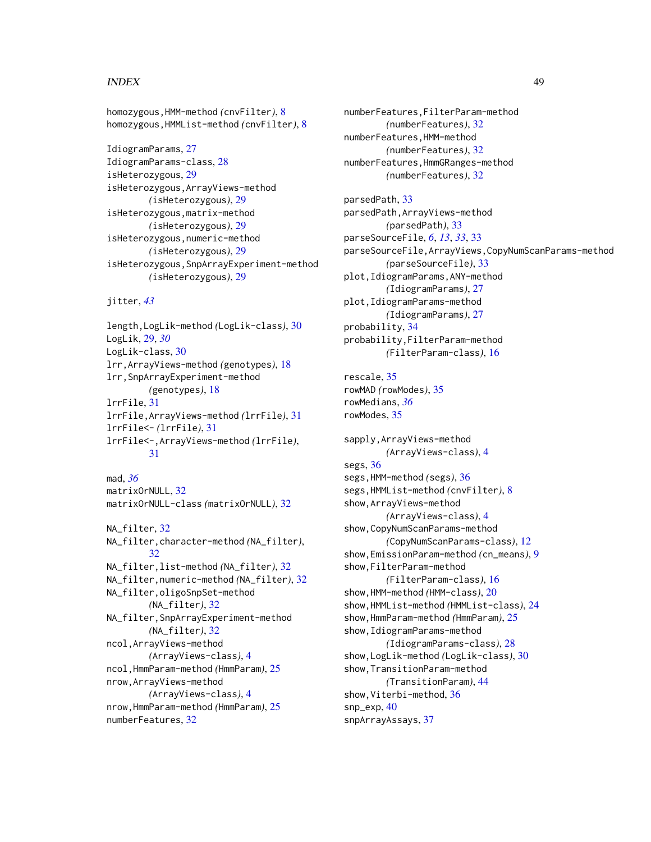#### INDEX 49

homozygous,HMM-method *(*cnvFilter*)*, [8](#page-7-0) homozygous,HMMList-method *(*cnvFilter*)*, [8](#page-7-0)

IdiogramParams, [27](#page-26-0) IdiogramParams-class, [28](#page-27-0) isHeterozygous, [29](#page-28-0) isHeterozygous,ArrayViews-method *(*isHeterozygous*)*, [29](#page-28-0) isHeterozygous,matrix-method *(*isHeterozygous*)*, [29](#page-28-0) isHeterozygous,numeric-method *(*isHeterozygous*)*, [29](#page-28-0) isHeterozygous,SnpArrayExperiment-method *(*isHeterozygous*)*, [29](#page-28-0)

jitter, *[43](#page-42-0)*

length,LogLik-method *(*LogLik-class*)*, [30](#page-29-0) LogLik, [29,](#page-28-0) *[30](#page-29-0)* LogLik-class, [30](#page-29-0) lrr,ArrayViews-method *(*genotypes*)*, [18](#page-17-0) lrr,SnpArrayExperiment-method *(*genotypes*)*, [18](#page-17-0) lrrFile, [31](#page-30-0) lrrFile,ArrayViews-method *(*lrrFile*)*, [31](#page-30-0) lrrFile<- *(*lrrFile*)*, [31](#page-30-0) lrrFile<-,ArrayViews-method *(*lrrFile*)*, [31](#page-30-0)

mad, *[36](#page-35-0)* matrixOrNULL, [32](#page-31-0) matrixOrNULL-class *(*matrixOrNULL*)*, [32](#page-31-0)

NA filter. [32](#page-31-0) NA\_filter,character-method *(*NA\_filter*)*, [32](#page-31-0) NA\_filter,list-method *(*NA\_filter*)*, [32](#page-31-0) NA\_filter,numeric-method *(*NA\_filter*)*, [32](#page-31-0) NA\_filter,oligoSnpSet-method *(*NA\_filter*)*, [32](#page-31-0) NA\_filter,SnpArrayExperiment-method *(*NA\_filter*)*, [32](#page-31-0) ncol,ArrayViews-method *(*ArrayViews-class*)*, [4](#page-3-0) ncol,HmmParam-method *(*HmmParam*)*, [25](#page-24-0) nrow,ArrayViews-method *(*ArrayViews-class*)*, [4](#page-3-0) nrow,HmmParam-method *(*HmmParam*)*, [25](#page-24-0) numberFeatures, [32](#page-31-0)

numberFeatures,FilterParam-method *(*numberFeatures*)*, [32](#page-31-0) numberFeatures,HMM-method *(*numberFeatures*)*, [32](#page-31-0) numberFeatures,HmmGRanges-method *(*numberFeatures*)*, [32](#page-31-0)

parsedPath, [33](#page-32-0) parsedPath,ArrayViews-method *(*parsedPath*)*, [33](#page-32-0) parseSourceFile, *[6](#page-5-0)*, *[13](#page-12-0)*, *[33](#page-32-0)*, [33](#page-32-0) parseSourceFile,ArrayViews,CopyNumScanParams-method *(*parseSourceFile*)*, [33](#page-32-0) plot,IdiogramParams,ANY-method *(*IdiogramParams*)*, [27](#page-26-0) plot,IdiogramParams-method *(*IdiogramParams*)*, [27](#page-26-0) probability, [34](#page-33-0) probability,FilterParam-method *(*FilterParam-class*)*, [16](#page-15-0) rescale, [35](#page-34-0) rowMAD *(*rowModes*)*, [35](#page-34-0)

rowMedians, *[36](#page-35-0)* rowModes, [35](#page-34-0) sapply,ArrayViews-method *(*ArrayViews-class*)*, [4](#page-3-0)

segs, [36](#page-35-0) segs,HMM-method *(*segs*)*, [36](#page-35-0) segs,HMMList-method *(*cnvFilter*)*, [8](#page-7-0) show,ArrayViews-method *(*ArrayViews-class*)*, [4](#page-3-0) show,CopyNumScanParams-method *(*CopyNumScanParams-class*)*, [12](#page-11-0) show,EmissionParam-method *(*cn\_means*)*, [9](#page-8-0) show,FilterParam-method *(*FilterParam-class*)*, [16](#page-15-0) show,HMM-method *(*HMM-class*)*, [20](#page-19-0) show,HMMList-method *(*HMMList-class*)*, [24](#page-23-0) show,HmmParam-method *(*HmmParam*)*, [25](#page-24-0) show,IdiogramParams-method *(*IdiogramParams-class*)*, [28](#page-27-0) show,LogLik-method *(*LogLik-class*)*, [30](#page-29-0) show,TransitionParam-method *(*TransitionParam*)*, [44](#page-43-0) show, Viterbi-method, [36](#page-35-0) snp\_exp, [40](#page-39-0) snpArrayAssays, [37](#page-36-0)